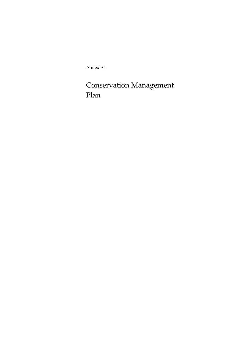Annex A1

Conservation Management Plan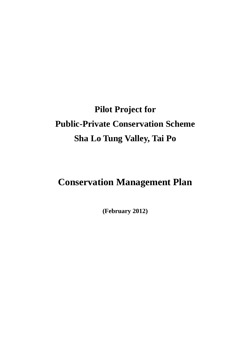# **Pilot Project for Public-Private Conservation Scheme Sha Lo Tung Valley, Tai Po**

## **Conservation Management Plan**

**(February 2012)**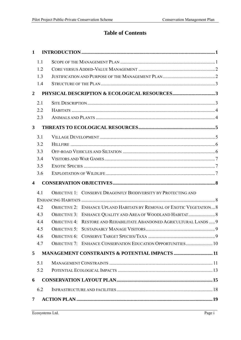## **Table of Contents**

| $\mathbf{1}$            |     |                                                                               |  |
|-------------------------|-----|-------------------------------------------------------------------------------|--|
|                         | 1.1 |                                                                               |  |
|                         | 1.2 |                                                                               |  |
|                         | 1.3 |                                                                               |  |
|                         | 1.4 |                                                                               |  |
| $\overline{2}$          |     |                                                                               |  |
|                         | 2.1 |                                                                               |  |
|                         | 2.2 |                                                                               |  |
|                         | 2.3 |                                                                               |  |
| $\mathbf{3}$            |     |                                                                               |  |
|                         | 3.1 |                                                                               |  |
|                         | 3.2 |                                                                               |  |
|                         | 3.3 |                                                                               |  |
|                         | 3.4 |                                                                               |  |
|                         | 3.5 |                                                                               |  |
|                         | 3.6 |                                                                               |  |
|                         |     |                                                                               |  |
| $\overline{\mathbf{4}}$ |     |                                                                               |  |
|                         | 4.1 | <b>OBJECTIVE 1: CONSERVE DRAGONFLY BIODIVERSITY BY PROTECTING AND</b>         |  |
|                         |     |                                                                               |  |
|                         | 4.2 | <b>OBJECTIVE 2: ENHANCE UPLAND HABITATS BY REMOVAL OF EXOTIC VEGETATION 8</b> |  |
|                         | 4.3 |                                                                               |  |
|                         | 4.4 | OBJECTIVE 4: RESTORE AND REHABILITATE ABANDONED AGRICULTURAL LANDS  9         |  |
|                         | 4.5 |                                                                               |  |
|                         | 4.6 |                                                                               |  |
|                         | 4.7 | <b>OBJECTIVE 7: ENHANCE CONSERVATION EDUCATION OPPORTUNITIES 10</b>           |  |
| 5                       |     | <b>MANAGEMENT CONSTRAINTS &amp; POTENTIAL IMPACTS  11</b>                     |  |
|                         | 5.1 |                                                                               |  |
|                         | 5.2 |                                                                               |  |
| 6                       |     |                                                                               |  |
|                         | 6.2 |                                                                               |  |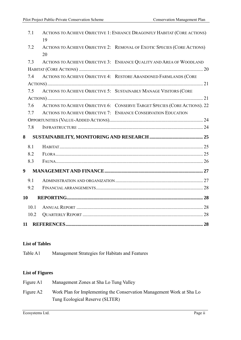| 7.1  | ACTIONS TO ACHIEVE OBJECTIVE 1: ENHANCE DRAGONFLY HABITAT (CORE ACTIONS)<br>19 |  |
|------|--------------------------------------------------------------------------------|--|
| 7.2  | ACTIONS TO ACHIEVE OBJECTIVE 2: REMOVAL OF EXOTIC SPECIES (CORE ACTIONS)<br>20 |  |
| 7.3  | ACTIONS TO ACHIEVE OBJECTIVE 3: ENHANCE QUALITY AND AREA OF WOODLAND           |  |
|      |                                                                                |  |
| 7.4  | ACTIONS TO ACHIEVE OBJECTIVE 4: RESTORE ABANDONED FARMLANDS (CORE              |  |
|      |                                                                                |  |
| 7.5  | ACTIONS TO ACHIEVE OBJECTIVE 5: SUSTAINABLY MANAGE VISITORS (CORE              |  |
|      |                                                                                |  |
| 7.6  | ACTIONS TO ACHIEVE OBJECTIVE 6: CONSERVE TARGET SPECIES (CORE ACTIONS). 22     |  |
| 7.7  | ACTIONS TO ACHIEVE OBJECTIVE 7: ENHANCE CONSERVATION EDUCATION                 |  |
|      |                                                                                |  |
| 7.8  |                                                                                |  |
| 8    |                                                                                |  |
| 8.1  |                                                                                |  |
| 8.2  |                                                                                |  |
| 8.3  |                                                                                |  |
| 9    |                                                                                |  |
| 9.1  |                                                                                |  |
| 9.2  |                                                                                |  |
| 10   |                                                                                |  |
| 10.1 |                                                                                |  |
| 10.2 |                                                                                |  |
| 11   |                                                                                |  |

#### **List of Tables**

Table A1 Management Strategies for Habitats and Features

## **List of Figures**

| Figure A1 | Management Zones at Sha Lo Tung Valley                                |
|-----------|-----------------------------------------------------------------------|
| Figure A2 | Work Plan for Implementing the Conservation Management Work at Sha Lo |
|           | Tung Ecological Reserve (SLTER)                                       |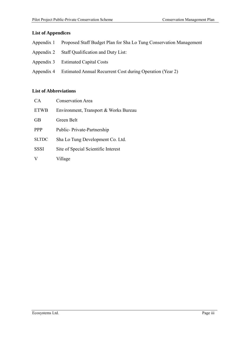#### **List of Appendices**

- Appendix 1 Proposed Staff Budget Plan for Sha Lo Tung Conservation Management
- Appendix 2 Staff Qualification and Duty List:
- Appendix 3 Estimated Capital Costs
- Appendix 4 Estimated Annual Recurrent Cost during Operation (Year 2)

#### **List of Abbreviations**

| CA           | <b>Conservation Area</b>              |
|--------------|---------------------------------------|
| <b>ETWB</b>  | Environment, Transport & Works Bureau |
| <b>GB</b>    | Green Belt                            |
| <b>PPP</b>   | Public-Private-Partnership            |
| <b>SLTDC</b> | Sha Lo Tung Development Co. Ltd.      |
| <b>SSSI</b>  | Site of Special Scientific Interest   |
|              | Village                               |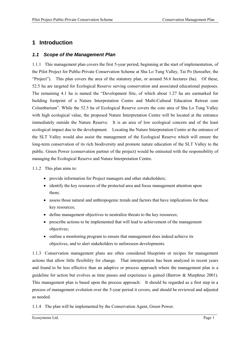## **1 Introduction**

#### *1.1 Scope of the Management Plan*

1.1.1 This management plan covers the first 5-year period, beginning at the start of implementation, of the Pilot Project for Public-Private Conservation Scheme at Sha Lo Tung Valley, Tai Po (hereafter, the "Project"). This plan covers the area of the statutory plan, or around 56.6 hectares (ha). Of these, 52.5 ha are targeted for Ecological Reserve serving conservation and associated educational purposes. The remaining 4.1 ha is named the "Development Site, of which about 1.27 ha are earmarked for building footprint of a Nature Interpretation Centre and Multi-Cultural Education Retreat cum Columbarium". While the 52.5 ha of Ecological Reserve covers the core area of Sha Lo Tung Valley with high ecological value, the proposed Nature Interpretation Centre will be located at the entrance immediately outside the Nature Reserve. It is an area of low ecological concern and of the least ecological impact due to the development. Locating the Nature Interpretation Centre at the entrance of the SLT Valley would also assist the management of the Ecological Reserve which will ensure the long-term conservation of its rich biodiversity and promote nature education of the SLT Valley to the public. Green Power (conservation partner of the project) would be entrusted with the responsibility of managing the Ecological Reserve and Nature Interpretation Centre.

1.1.2 This plan aims to:

- provide information for Project managers and other stakeholders;
- identify the key resources of the protected area and focus management attention upon them;
- assess those natural and anthropogenic trends and factors that have implications for these key resources;
- define management objectives to neutralize threats to the key resources;
- prescribe actions to be implemented that will lead to achievement of the management objectives;
- outline a monitoring program to ensure that management does indeed achieve its objectives, and to alert stakeholders to unforeseen developments.

1.1.3 Conservation management plans are often considered blueprints or recipes for management actions that allow little flexibility for change. That interpretation has been analyzed in recent years and found to be less effective than an adaptive or process approach where the management plan is a guideline for action but evolves as time passes and experience is gained (Barrow & Murphree 2001). This management plan is based upon the process approach: It should be regarded as a first step in a process of management evolution over the 5-year period it covers, and should be reviewed and adjusted as needed.

1.1.4 The plan will be implemented by the Conservation Agent, Green Power.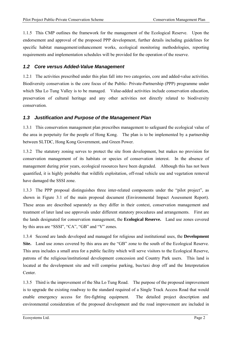1.1.5 This CMP outlines the framework for the management of the Ecological Reserve. Upon the endorsement and approval of the proposed PPP development, further details including guidelines for specific habitat management/enhancement works, ecological monitoring methodologies, reporting requirements and implementation schedules will be provided for the operation of the reserve.

#### *1.2 Core versus Added-Value Management*

1.2.1 The activities prescribed under this plan fall into two categories, core and added-value activities. Biodiversity conservation is the core focus of the Public- Private-Partnership (PPP) programme under which Sha Lo Tung Valley is to be managed. Value-added activities include conservation education, preservation of cultural heritage and any other activities not directly related to biodiversity conservation.

#### *1.3 Justification and Purpose of the Management Plan*

1.3.1 This conservation management plan prescribes management to safeguard the ecological value of the area in perpetuity for the people of Hong Kong. The plan is to be implemented by a partnership between SLTDC, Hong Kong Government, and Green Power.

1.3.2 The statutory zoning serves to protect the site from development, but makes no provision for conservation management of its habitats or species of conservation interest. In the absence of management during prior years, ecological resources have been degraded. Although this has not been quantified, it is highly probable that wildlife exploitation, off-road vehicle use and vegetation removal have damaged the SSSI zone.

1.3.3 The PPP proposal distinguishes three inter-related components under the "pilot project", as shown in Figure 3.1 of the main proposal document (Environmental Impact Assessment Report). These areas are described separately as they differ in their context, conservation management and treatment of later land use approvals under different statutory procedures and arrangements. First are the lands designated for conservation management, the **Ecological Reserve.** Land use zones covered by this area are "SSSI", "CA", "GB" and "V" zones.

1.3.4 Second are lands developed and managed for religious and institutional uses, the **Development Site.** Land use zones covered by this area are the "GB" zone to the south of the Ecological Reserve. This area includes a small area for a public facility which will serve visitors to the Ecological Reserve, patrons of the religious/institutional development concession and Country Park users. This land is located at the development site and will comprise parking, bus/taxi drop off and the Interpretation Center.

1.3.5 Third is the improvement of the Sha Lo Tung Road. The purpose of the proposed improvement is to upgrade the existing roadway to the standard required of a Single Track Access Road that would enable emergency access for fire-fighting equipment. The detailed project description and environmental consideration of the proposed development and the road improvement are included in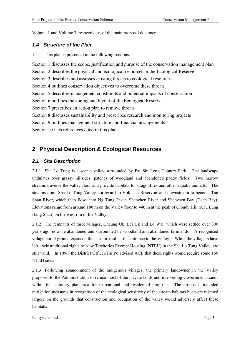Volume 1 and Volume 3, respectively, of the main proposal document.

#### *1.4 Structure of the Plan*

1.4.1 This plan is presented in the following sections:

Section 1 discusses the scope, justification and purpose of the conservation management plan Section 2 describes the physical and ecological resources in the Ecological Reserve Section 3 describes and assesses existing threats to ecological resources Section 4 outlines conservation objectives to overcome these threats Section 5 describes management constraints and potential impacts of conservation Section 6 outlines the zoning and layout of the Ecological Reserve Section 7 prescribes an action plan to remove threats Section 8 discusses sustainability and prescribes research and monitoring projects Section 9 outlines management structure and financial arrangements Section 10 lists references cited in this plan

## **2 Physical Description & Ecological Resources**

#### *2.1 Site Description*

2.1.1 Sha Lo Tung is a scenic valley surrounded by Pat Sin Leng Country Park. The landscape undulates over grassy hillsides, patches of woodland and abandoned paddy fields. Two narrow streams traverse the valley floor and provide habitats for dragonflies and other aquatic animals. The streams drain Sha Lo Tung Valley northward to Hok Tau Reservoir and downstream to become Tan Shan River, which then flows into Ng Tung River, Shenzhen River and Shenzhen Bay (Deep Bay). Elevations range from around 180 m on the Valley floor to 440 m at the peak of Cloudy Hill (Kau Lung Hang Shan) on the west rim of the Valley.

2.1.2 The remnants of three villages, Cheung Uk, Lei Uk and Lo Wai, which were settled over 300 years ago, now lie abandoned and surrounded by woodland and abandoned farmlands. A recognised village burial ground exists on the eastern knoll at the entrance to the Valley. While the villagers have left, their traditional rights to New Territories Exempt Housing (NTEH) in the Sha Lo Tung Valley, are still valid. In 1996, the District Officer/Tai Po advised ACE that these rights would require some 160 NTEH sites.

2.1.3 Following abandonment of the indigenous villages, the primary landowner in the Valley proposed to the Administration to re-use most of the private lands and intervening Government Lands within the statutory plan area for recreational and residential purposes. The proposals included mitigation measures in recognition of the ecological sensitivity of the stream habitats but were rejected largely on the grounds that construction and occupation of the valley would adversely affect these habitats.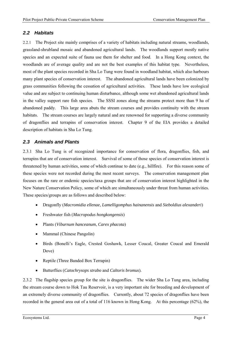#### *2.2 Habitats*

2.2.1 The Project site mainly comprises of a variety of habitats including natural streams, woodlands, grassland-shrubland mosaic and abandoned agricultural lands. The woodlands support mostly native species and an expected suite of fauna use them for shelter and food. In a Hong Kong context, the woodlands are of average quality and are not the best examples of this habitat type. Nevertheless, most of the plant species recorded in Sha Lo Tung were found in woodland habitat, which also harbours many plant species of conservation interest. The abandoned agricultural lands have been colonized by grass communities following the cessation of agricultural activities. These lands have low ecological value and are subject to continuing human disturbance, although some wet abandoned agricultural lands in the valley support rare fish species. The SSSI zones along the streams protect more than 9 ha of abandoned paddy. This large area abuts the stream courses and provides continuity with the stream habitats. The stream courses are largely natural and are renowned for supporting a diverse community of dragonflies and terrapins of conservation interest. Chapter 9 of the EIA provides a detailed description of habitats in Sha Lo Tung.

#### *2.3 Animals and Plants*

2.3.1 Sha Lo Tung is of recognized importance for conservation of flora, dragonflies, fish, and terrapins that are of conservation interest. Survival of some of those species of conservation interest is threatened by human activities, some of which continue to date (e.g., hillfire). For this reason some of these species were not recorded during the most recent surveys. The conservation management plan focuses on the rare or endemic species/taxa groups that are of conservation interest highlighted in the New Nature Conservation Policy, some of which are simultaneously under threat from human activities. These species/groups are as follows and described below:

- Dragonfly (*Macromidia ellenae*, *Lamelligomphus hainanensis* and *Sieboldius alexanderi*)
- Freshwater fish (*Macropodus hongkongensis*)
- Plants (*Viburnum hanceanum*, *Carex phacota*)
- Mammal (Chinese Pangolin)
- Birds (Bonelli's Eagle, Crested Goshawk, Lesser Coucal, Greater Coucal and Emerald Dove)
- Reptile (Three Banded Box Terrapin)
- Butterflies (*Catochrysops strabo* and *Caltoris bromus*).

2.3.2 The flagship species group for the site is dragonflies. The wider Sha Lo Tung area, including the stream course down to Hok Tau Reservoir, is a very important site for breeding and development of an extremely diverse community of dragonflies. Currently, about 72 species of dragonflies have been recorded in the general area out of a total of 116 known in Hong Kong. At this percentage (62%), the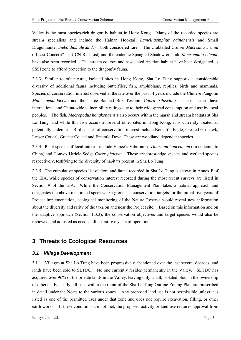Valley is the most species-rich dragonfly habitat in Hong Kong. Many of the recorded species are stream specialists and include the Hainan Hooktail *Lamelligomphus hainanensis* and Small Dragonhunter *Sieboldius alexanderi*, both considered rare. The Clubtailed Cruiser *Macromia urania*  ("Least Concern" in IUCN Red List) and the endemic Spangled Shadow-emerald *Macromidia ellenae*  have also been recorded. The stream courses and associated riparian habitat have been designated as SSSI zone to afford protection to the dragonfly fauna.

2.3.3 Similar to other rural, isolated sites in Hong Kong, Sha Lo Tung supports a considerable diversity of additional fauna including butterflies, fish, amphibians, reptiles, birds and mammals. Species of conservation interest observed at the site over the past 14 years include the Chinese Pangolin *Manis pentadactyla* and the Three Banded Box Terrapin *Cuora trifasciata*. These species have international and China-wide vulnerability ratings due to their widespread consumption and use by local peoples. The fish, *Macropodus hongkongensis* also occurs within the marsh and stream habitats at Sha Lo Tung, and while this fish occurs at several other sites in Hong Kong, it is currently treated as potentially endemic. Bird species of conservation interest include Bonelli's Eagle, Crested Goshawk, Lesser Coucal, Greater Coucal and Emerald Dove. These are woodland dependent species.

2.3.4 Plant species of local interest include Hance's Viburnum, *Viburnum hanceanum* (an endemic to China) and Convex Utricle Sedge *Carex phacota*. These are forest-edge species and wetland species respectively, testifying to the diversity of habitats present in Sha Lo Tung.

2.3.5 The cumulative species list of flora and fauna recorded in Sha Lo Tung is shown in Annex F of the EIA, while species of conservation interest recorded during the most recent surveys are listed in Section 9 of the EIA. While the Conservation Management Plan takes a habitat approach and designates the above mentioned species/taxa groups as conservation targets for the initial five years of Project implementation, ecological monitoring of the Nature Reserve would reveal new information about the diversity and rarity of the taxa on and near the Project site. Based on this information and on the adaptive approach (Section 1.3.3), the conservation objectives and target species would also be reviewed and adjusted as needed after first five years of operation.

## **3 Threats to Ecological Resources**

#### *3.1 Village Development*

3.1.1 Villages at Sha Lo Tung have been progressively abandoned over the last several decades, and lands have been sold to SLTDC. No one currently resides permanently in the Valley. SLTDC has acquired over 96% of the private lands in the Valley, leaving only small, isolated plots in the ownership of others. Basically, all uses within the remit of the Sha Lo Tung Outline Zoning Plan are prescribed in detail under the Notes to the various zones. Any proposed land use is not permissible unless it is listed as one of the permitted uses under that zone and does not require excavation, filling, or other earth works. If these conditions are not met, the proposed activity or land use requires approval from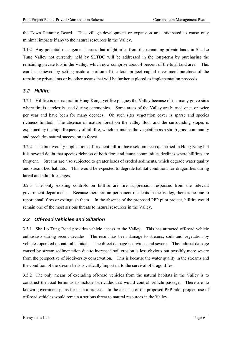the Town Planning Board. Thus village development or expansion are anticipated to cause only minimal impacts if any to the natural resources in the Valley.

3.1.2 Any potential management issues that might arise from the remaining private lands in Sha Lo Tung Valley not currently held by SLTDC will be addressed in the long-term by purchasing the remaining private lots in the Valley, which now comprise about 4 percent of the total land area. This can be achieved by setting aside a portion of the total project capital investment purchase of the remaining private lots or by other means that will be further explored as implementation proceeds.

#### *3.2 Hillfire*

3.2.1 Hillfire is not natural in Hong Kong, yet fire plagues the Valley because of the many grave sites where fire is carelessly used during ceremonies. Some areas of the Valley are burned once or twice per year and have been for many decades. On such sites vegetation cover is sparse and species richness limited. The absence of mature forest on the valley floor and the surrounding slopes is explained by the high frequency of hill fire, which maintains the vegetation as a shrub-grass community and precludes natural succession to forest.

3.2.2 The biodiversity implications of frequent hillfire have seldom been quantified in Hong Kong but it is beyond doubt that species richness of both flora and fauna communities declines where hillfires are frequent. Streams are also subjected to greater loads of eroded sediments, which degrade water quality and stream-bed habitats. This would be expected to degrade habitat conditions for dragonflies during larval and adult life stages.

3.2.3 The only existing controls on hillfire are fire suppression responses from the relevant government departments. Because there are no permanent residents in the Valley, there is no one to report small fires or extinguish them. In the absence of the proposed PPP pilot project, hillfire would remain one of the most serious threats to natural resources in the Valley.

#### *3.3 Off-road Vehicles and Siltation*

3.3.1 Sha Lo Tung Road provides vehicle access to the Valley. This has attracted off-road vehicle enthusiasts during recent decades. The result has been damage to streams, soils and vegetation by vehicles operated on natural habitats. The direct damage is obvious and severe. The indirect damage caused by stream sedimentation due to increased soil erosion is less obvious but possibly more severe from the perspective of biodiversity conservation. This is because the water quality in the streams and the condition of the stream-beds is critically important to the survival of dragonflies.

3.3.2 The only means of excluding off-road vehicles from the natural habitats in the Valley is to construct the road terminus to include barricades that would control vehicle passage. There are no known government plans for such a project. In the absence of the proposed PPP pilot project, use of off-road vehicles would remain a serious threat to natural resources in the Valley.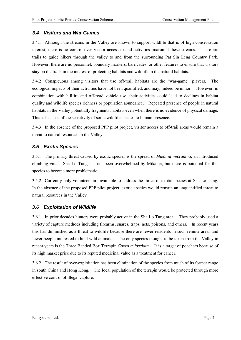#### *3.4 Visitors and War Games*

3.4.1 Although the streams in the Valley are known to support wildlife that is of high conservation interest, there is no control over visitor access to and activities in/around these streams. There are trails to guide hikers through the valley to and from the surrounding Pat Sin Leng Country Park. However, there are no personnel, boundary markers, barricades, or other features to ensure that visitors stay on the trails in the interest of protecting habitats and wildlife in the natural habitats.

3.4.2 Conspicuous among visitors that use off-trail habitats are the "war-game" players. The ecological impacts of their activities have not been quantified, and may, indeed be minor. However, in combination with hillfire and off-road vehicle use, their activities could lead to declines in habitat quality and wildlife species richness or population abundance. Repeated presence of people in natural habitats in the Valley potentially fragments habitats even when there is no evidence of physical damage. This is because of the sensitivity of some wildlife species to human presence.

3.4.3 In the absence of the proposed PPP pilot project, visitor access to off-trail areas would remain a threat to natural resources in the Valley.

#### *3.5 Exotic Species*

3.5.1 The primary threat caused by exotic species is the spread of *Mikania micrantha*, an introduced climbing vine. Sha Lo Tung has not been overwhelmed by Mikania, but there is potential for this species to become more problematic.

3.5.2 Currently only volunteers are available to address the threat of exotic species at Sha Lo Tung. In the absence of the proposed PPP pilot project, exotic species would remain an unquantified threat to natural resources in the Valley.

#### *3.6 Exploitation of Wildlife*

3.6.1 In prior decades hunters were probably active in the Sha Lo Tung area. They probably used a variety of capture methods including firearms, snares, traps, nets, poisons, and others. In recent years this has diminished as a threat to wildlife because there are fewer residents in such remote areas and fewer people interested to hunt wild animals. The only species thought to be taken from the Valley in recent years is the Three Banded Box Terrapin *Cuora trifasciata.* It is a target of poachers because of its high market price due to its reputed medicinal value as a treatment for cancer.

3.6.2 The result of over-exploitation has been elimination of the species from much of its former range in south China and Hong Kong. The local population of the terrapin would be protected through more effective control of illegal capture.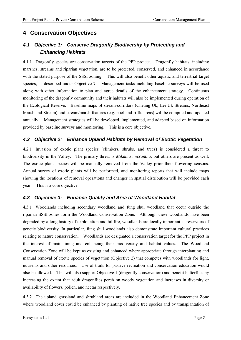## **4 Conservation Objectives**

## *4.1 Objective 1: Conserve Dragonfly Biodiversity by Protecting and Enhancing Habitats*

4.1.1 Dragonfly species are conservation targets of the PPP project. Dragonfly habitats, including marshes, streams and riparian vegetation, are to be protected, conserved, and enhanced in accordance with the stated purpose of the SSSI zoning. This will also benefit other aquatic and terrestrial target species, as described under Objective 7. Management tasks including baseline surveys will be used along with other information to plan and agree details of the enhancement strategy. Continuous monitoring of the dragonfly community and their habitats will also be implemented during operation of the Ecological Reserve. Baseline maps of stream-corridors (Cheung Uk, Lei Uk Streams, Northeast Marsh and Stream) and stream/marsh features (e.g. pool and riffle areas) will be compiled and updated annually. Management strategies will be developed, implemented, and adapted based on information provided by baseline surveys and monitoring. This is a core objective.

#### *4.2 Objective 2: Enhance Upland Habitats by Removal of Exotic Vegetation*

4.2.1 Invasion of exotic plant species (climbers, shrubs, and trees) is considered a threat to biodiversity in the Valley. The primary threat is *Mikania micrantha*, but others are present as well. The exotic plant species will be manually removed from the Valley prior their flowering seasons. Annual survey of exotic plants will be performed, and monitoring reports that will include maps showing the locations of removal operations and changes in spatial distribution will be provided each year. This is a core objective.

#### *4.3 Objective 3: Enhance Quality and Area of Woodland Habitat*

4.3.1 Woodlands including secondary woodland and fung shui woodland that occur outside the riparian SSSI zones form the Woodland Conservation Zone. Although these woodlands have been degraded by a long history of exploitation and hillfire, woodlands are locally important as reservoirs of genetic biodiversity. In particular, fung shui woodlands also demonstrate important cultural practices relating to nature conservation. Woodlands are designated a conservation target for the PPP project in the interest of maintaining and enhancing their biodiversity and habitat values. The Woodland Conservation Zone will be kept as existing and enhanced where appropriate through interplanting and manual removal of exotic species of vegetation (Objective 2) that competes with woodlands for light, nutrients and other resources. Use of trails for passive recreation and conservation education would also be allowed. This will also support Objective 1 (dragonfly conservation) and benefit butterflies by increasing the extent that adult dragonflies perch on woody vegetation and increases in diversity or availability of flowers, pollen, and nectar respectively.

4.3.2 The upland grassland and shrubland areas are included in the Woodland Enhancement Zone where woodland cover could be enhanced by planting of native tree species and by transplantation of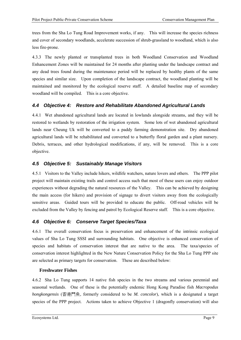trees from the Sha Lo Tung Road Improvement works, if any. This will increase the species richness and cover of secondary woodlands, accelerate succession of shrub-grassland to woodland, which is also less fire-prone.

4.3.3 The newly planted or transplanted trees in both Woodland Conservation and Woodland Enhancement Zones will be maintained for 24 months after planting under the landscape contract and any dead trees found during the maintenance period will be replaced by healthy plants of the same species and similar size. Upon completion of the landscape contract, the woodland planting will be maintained and monitored by the ecological reserve staff. A detailed baseline map of secondary woodland will be compiled. This is a core objective.

#### *4.4 Objective 4: Restore and Rehabilitate Abandoned Agricultural Lands*

4.4.1 Wet abandoned agricultural lands are located in lowlands alongside streams, and they will be restored to wetlands by restoration of the irrigation system. Some lots of wet abandoned agricultural lands near Cheung Uk will be converted to a paddy farming demonstration site. Dry abandoned agricultural lands will be rehabilitated and converted to a butterfly floral garden and a plant nursery. Debris, terraces, and other hydrological modifications, if any, will be removed. This is a core objective.

#### *4.5 Objective 5: Sustainably Manage Visitors*

4.5.1 Visitors to the Valley include hikers, wildlife watchers, nature lovers and others. The PPP pilot project will maintain existing trails and control access such that most of these users can enjoy outdoor experiences without degrading the natural resources of the Valley. This can be achieved by designing the main access (for hikers) and provision of signage to divert visitors away from the ecologically sensitive areas. Guided tours will be provided to educate the public. Off-road vehicles will be excluded from the Valley by fencing and patrol by Ecological Reserve staff. This is a core objective.

#### *4.6 Objective 6: Conserve Target Species/Taxa*

4.6.1 The overall conservation focus is preservation and enhancement of the intrinsic ecological values of Sha Lo Tung SSSI and surrounding habitats. One objective is enhanced conservation of species and habitats of conservation interest that are native to the area. The taxa/species of conservation interest highlighted in the New Nature Conservation Policy for the Sha Lo Tung PPP site are selected as primary targets for conservation. These are described below:

#### **Freshwater Fishes**

4.6.2 Sha Lo Tung supports 14 native fish species in the two streams and various perennial and seasonal wetlands. One of these is the potentially endemic Hong Kong Paradise fish *Macropodus hongkongensis* (香港鬥魚, formerly considered to be *M. concolor*), which is a designated a target species of the PPP project. Actions taken to achieve Objective 1 (dragonfly conservation) will also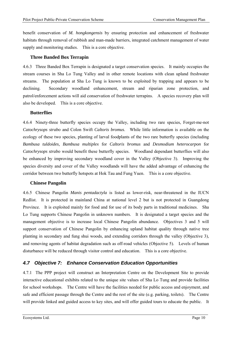benefit conservation of *M. hongkongensis* by ensuring protection and enhancement of freshwater habitats through removal of rubbish and man-made barriers, integrated catchment management of water supply and monitoring studies. This is a core objective.

#### **Three Banded Box Terrapin**

4.6.3 Three Banded Box Terrapin is designated a target conservation species. It mainly occupies the stream courses in Sha Lo Tung Valley and in other remote locations with clean upland freshwater streams. The population at Sha Lo Tung is known to be exploited by trapping and appears to be declining. Secondary woodland enhancement, stream and riparian zone protection, and patrol/enforcement actions will aid conservation of freshwater terrapins. A species recovery plan will also be developed. This is a core objective.

#### **Butterflies**

4.6.4 Ninety-three butterfly species occupy the Valley, including two rare species, Forget-me-not *Catochrysops strabo* and Colon Swift *Caltoris bromus*. While little information is available on the ecology of these two species, planting of larval foodplants of the two rare butterfly species (including *Bambusa tuldoides, Bambusa multiplex* for *Caltoris bromus* and *Desmodium heterocarpon* for *Catochrysops strabo* would benefit these butterfly species. Woodland dependant butterflies will also be enhanced by improving secondary woodland cover in the Valley (Objective 3). Improving the species diversity and cover of the Valley woodlands will have the added advantage of enhancing the corridor between two butterfly hotspots at Hok Tau and Fung Yuen. This is a core objective.

#### **Chinese Pangolin**

4.6.5 Chinese Pangolin *Manis pentadactyla* is listed as lower-risk, near-threatened in the IUCN Redlist. It is protected in mainland China at national level 2 but is not protected in Guangdong Province. It is exploited mainly for food and for use of its body parts in traditional medicines. Sha Lo Tung supports Chinese Pangolin in unknown numbers. It is designated a target species and the management objective is to increase local Chinese Pangolin abundance. Objectives 3 and 5 will support conservation of Chinese Pangolin by enhancing upland habitat quality through native tree planting in secondary and fung shui woods, and extending corridors through the valley (Objective 3), and removing agents of habitat degradation such as off-road vehicles (Objective 5). Levels of human disturbance will be reduced through visitor control and education. This is a core objective.

#### *4.7 Objective 7: Enhance Conservation Education Opportunities*

4.7.1 The PPP project will construct an Interpretation Centre on the Development Site to provide interactive educational exhibits related to the unique site values of Sha Lo Tung and provide facilities for school workshops. The Centre will have the facilities needed for public access and enjoyment, and safe and efficient passage through the Centre and the rest of the site (e.g. parking, toilets). The Centre will provide linked and guided access to key sites, and will offer guided tours to educate the public. It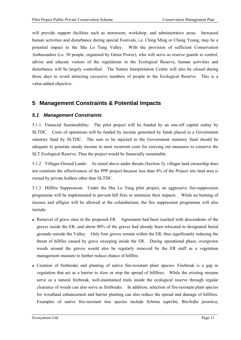will provide support facilities such as storeroom, workshop, and administrative areas. Increased human activities and disturbance during special Festivals, i.e. Ching Ming or Chung Yeung, may be a potential impact to the Sha Lo Tung Valley. With the provision of sufficient Conservation Ambassadors (i.e. 30 people, organised by Green Power), who will serve as reserve guards to control, advise and educate visitors of the regulations in the Ecological Reserve, human activities and disturbance will be largely controlled. The Nature Interpretation Centre will also be closed during those days to avoid attracting excessive numbers of people to the Ecological Reserve. This is a value-added objective.

## **5 Management Constraints & Potential Impacts**

#### *5.1 Management Constraints*

5.1.1 Financial Sustainability: The pilot project will be funded by an one-off capital outlay by SLTDC. Costs of operations will be funded by income generated by funds placed in a Government statutory fund by SLTDC. The sum to be injected to the Government statutory fund should be adequate to generate steady income to meet recurrent costs for carrying out measures to conserve the SLT Ecological Reserve. Thus the project would be financially sustainable.

5.1.2 Villager-Owned Lands: As noted above under threats (Section 3), villager land ownership does not constrain the effectiveness of the PPP project because less than 4% of the Project site land area is owned by private holders other than SLTDC.

5.1.3 Hillfire Suppression: Under the Sha Lo Tung pilot project, an aggressive fire-suppression programme will be implemented to prevent hill fires or minimize their impacts. While no burning of incense and effigies will be allowed at the columbarium, the fire suppression programme will also include:

- Removal of grave sites in the proposed ER. Agreement had been reached with descendents of the graves inside the ER, and about 80% of the graves had already been relocated to designated burial grounds outside the Valley. Only four graves remain within the ER, thus significantly reducing the threat of hillfire caused by grave sweeping inside the ER. During operational phase, overgrown weeds around the graves would also be regularly removed by the ER staff as a vegetation management measure to further reduce chance of hillfire.
- Creation of firebreaks and planting of native fire-resistant plant species. Firebreak is a gap in vegetation that act as a barrier to slow or stop the spread of hillfires. While the existing streams serve as a natural firebreak, well-maintained trails inside the ecological reserve through regular clearance of weeds can also serve as firebreaks. In addition, selection of fire-resistant plant species for woodland enhancement and barrier planting can also reduce the spread and damage of hillfires. Examples of native fire-resistant tree species include *Schima superba, Bischofia javanica,*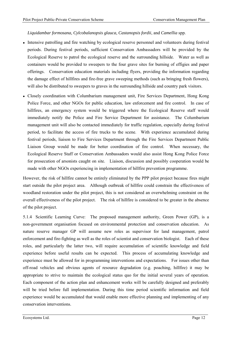#### *Liquidambar formosana, Cylcobalanopsis glauca, Castanopsis fordii*, and *Camellia* spp.

- Intensive patrolling and fire watching by ecological reserve personnel and volunteers during festival periods. During festival periods, sufficient Conservation Ambassadors will be provided by the Ecological Reserve to patrol the ecological reserve and the surrounding hillside. Water as well as containers would be provided to sweepers to the four grave sites for burning of effigies and paper offerings. Conservation education materials including flyers, providing the information regarding the damage effect of hillfires and fire-free grave sweeping methods (such as bringing fresh flowers), will also be distributed to sweepers to graves in the surrounding hillside and country park visitors.
- Closely coordination with Columbarium management unit, Fire Services Department, Hong Kong Police Force, and other NGOs for public education, law enforcement and fire control. In case of hillfires, an emergency system would be triggered where the Ecological Reserve staff would immediately notify the Police and Fire Service Department for assistance. The Columbarium management unit will also be contacted immediately for traffic regulation, especially during festival period, to facilitate the access of fire trucks to the scene. With experience accumulated during festival periods, liaison to Fire Services Department through the Fire Services Department Public Liaison Group would be made for better coordination of fire control. When necessary, the Ecological Reserve Staff or Conservation Ambassadors would also assist Hong Kong Police Force for prosecution of arsonists caught on site. Liaison, discussion and possibly cooperation would be made with other NGOs experiencing in implementation of hillfire prevention programme.

However, the risk of hillfire cannot be entirely eliminated by the PPP pilot project because fires might start outside the pilot project area. Although outbreak of hillfire could constrain the effectiveness of woodland restoration under the pilot project, this is not considered an overwhelming constraint on the overall effectiveness of the pilot project. The risk of hillfire is considered to be greater in the absence of the pilot project.

5.1.4 Scientific Learning Curve: The proposed management authority, Green Power (GP), is a non-government organisation focused on environmental protection and conservation education. As nature reserve manager GP will assume new roles as supervisor for land management, patrol enforcement and fire-fighting as well as the roles of scientist and conservation biologist. Each of these roles, and particularly the latter two, will require accumulation of scientific knowledge and field experience before useful results can be expected. This process of accumulating knowledge and experience must be allowed for in programming interventions and expectations. For issues other than off-road vehicles and obvious agents of resource degradation (e.g. poaching, hillfire) it may be appropriate to strive to maintain the ecological status quo for the initial several years of operation. Each component of the action plan and enhancement works will be carefully designed and preferably will be tried before full implementation. During this time period scientific information and field experience would be accumulated that would enable more effective planning and implementing of any conservation interventions.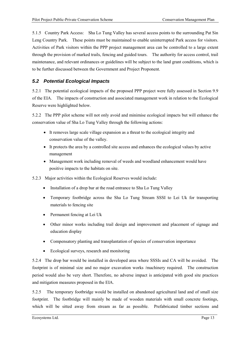5.1.5 Country Park Access: Sha Lo Tung Valley has several access points to the surrounding Pat Sin Leng Country Park. These points must be maintained to enable uninterrupted Park access for visitors. Activities of Park visitors within the PPP project management area can be controlled to a large extent through the provision of marked trails, fencing and guided tours. The authority for access control, trail maintenance, and relevant ordinances or guidelines will be subject to the land grant conditions, which is to be further discussed between the Government and Project Proponent.

#### *5.2 Potential Ecological Impacts*

5.2.1 The potential ecological impacts of the proposed PPP project were fully assessed in Section 9.9 of the EIA. The impacts of construction and associated management work in relation to the Ecological Reserve were highlighted below.

5.2.2 The PPP pilot scheme will not only avoid and minimise ecological impacts but will enhance the conservation value of Sha Lo Tung Valley through the following actions:

- It removes large scale village expansion as a threat to the ecological integrity and conservation value of the valley.
- It protects the area by a controlled site access and enhances the ecological values by active management
- Management work including removal of weeds and woodland enhancement would have positive impacts to the habitats on site.
- 5.2.3 Major activities within the Ecological Reserves would include:
	- Installation of a drop bar at the road entrance to Sha Lo Tung Valley
	- Temporary footbridge across the Sha Lo Tung Stream SSSI to Lei Uk for transporting materials to fencing site
	- Permanent fencing at Lei Uk
	- Other minor works including trail design and improvement and placement of signage and education display
	- Compensatory planting and transplantation of species of conservation importance
	- Ecological surveys, research and monitoring

5.2.4 The drop bar would be installed in developed area where SSSIs and CA will be avoided. The footprint is of minimal size and no major excavation works /machinery required. The construction period would also be very short. Therefore, no adverse impact is anticipated with good site practices and mitigation measures proposed in the EIA.

5.2.5 The temporary footbridge would be installed on abandoned agricultural land and of small size footprint. The footbridge will mainly be made of wooden materials with small concrete footings, which will be sitted away from stream as far as possible. Prefabricated timber sections and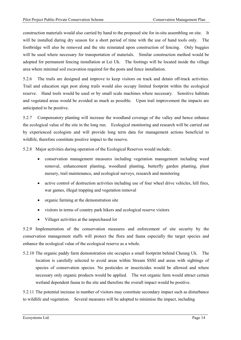construction materials would also carried by hand to the proposed site for in-situ assembling on site. It will be installed during dry season for a short period of time with the use of hand tools only. The footbridge will also be removed and the site reinstated upon construction of fencing. Only buggies will be used where necessary for transportation of materials. Similar construction method would be adopted for permanent fencing installation at Lei Uk. The footings will be located inside the village area where minimal soil excavation required for the posts and fence installation.

5.2.6 The trails are designed and improve to keep visitors on track and detain off-track activities. Trail and education sign post along trails would also occupy limited footprint within the ecological reserve. Hand tools would be used or by small scale machines where necessary. Sensitive habitats and vegetated areas would be avoided as much as possible. Upon trail improvement the impacts are anticipated to be positive.

5.2.7 Compensatory planting will increase the woodland coverage of the valley and hence enhance the ecological value of the site in the long run. Ecological monitoring and research will be carried out by experienced ecologists and will provide long term data for management actions beneficial to wildlife, therefore constitute positive impact to the reserve.

5.2.8 Major activities during operation of the Ecological Reserves would include:.

- conservation management measures including vegetation management including weed removal, enhancement planting, woodland planting, butterfly garden planting, plant nursery, trail maintenance, and ecological surveys, research and monitoring
- active control of destruction activities including use of four wheel drive vehicles, hill fires, war games, illegal trapping and vegetation removal
- organic farming at the demonstration site
- visitors in terms of country park hikers and ecological reserve visitors
- Villager activities at the unpurchased lot

5.2.9 Implementation of the conservation measures and enforcement of site security by the conservation management staffs will protect the flora and fauna especially the target species and enhance the ecological value of the ecological reserve as a whole.

5.2.10 The organic paddy farm demonstration site occupies a small footprint behind Cheung Uk. The location is carefully selected to avoid areas within Stream SSSI and areas with sightings of species of conservation species. No pesticides or insecticides would be allowed and where necessary only organic products would be applied. The wet organic farm would attract certain wetland dependent fauna to the site and therefore the overall impact would be positive.

5.2.11 The potential increase in number of visitors may constitute secondary impact such as disturbance to wildlife and vegetation. Several measures will be adopted to minimise the impact, including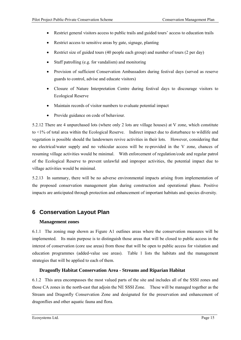- Restrict general visitors access to public trails and guided tours' access to education trails
- Restrict access to sensitive areas by gate, signage, planting
- Restrict size of guided tours (40 people each group) and number of tours (2 per day)
- Staff patrolling (e.g. for vandalism) and monitoring
- Provision of sufficient Conservation Ambassadors during festival days (served as reserve guards to control, advise and educate visitors)
- Closure of Nature Interpretation Centre during festival days to discourage visitors to Ecological Reserve
- Maintain records of visitor numbers to evaluate potential impact
- Provide guidance on code of behaviour.

5.2.12 There are 4 unpurchased lots (where only 2 lots are village houses) at V zone, which constitute to <1% of total area within the Ecological Reserve. Indirect impact due to disturbance to wildlife and vegetation is possible should the landowners revive activities in their lots. However, considering that no electrical/water supply and no vehicular access will be re-provided in the V zone, chances of resuming village activities would be minimal. With enforcement of regulation/code and regular patrol of the Ecological Reserve to prevent unlawful and improper activities, the potential impact due to village activities would be minimal.

5.2.13 In summary, there will be no adverse environmental impacts arising from implementation of the proposed conservation management plan during construction and operational phase. Positive impacts are anticipated through protection and enhancement of important habitats and species diversity.

## **6 Conservation Layout Plan**

#### **Management zones**

6.1.1 The zoning map shown as Figure A1 outlines areas where the conservation measures will be implemented. Its main purpose is to distinguish those areas that will be closed to public access in the interest of conservation (core use areas) from those that will be open to public access for visitation and education programmes (added-value use areas). Table 1 lists the habitats and the management strategies that will be applied to each of them.

#### **Dragonfly Habitat Conservation Area - Streams and Riparian Habitat**

6.1.2 This area encompasses the most valued parts of the site and includes all of the SSSI zones and those CA zones in the north-east that adjoin the NE SSSI Zone. These will be managed together as the Stream and Dragonfly Conservation Zone and designated for the preservation and enhancement of dragonflies and other aquatic fauna and flora.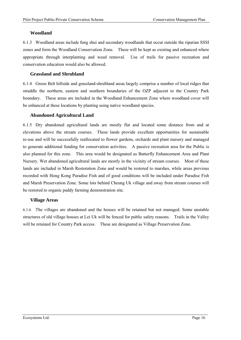#### **Woodland**

6.1.3 Woodland areas include fung shui and secondary woodlands that occur outside the riparian SSSI zones and form the Woodland Conservation Zone. These will be kept as existing and enhanced where appropriate through interplanting and weed removal. Use of trails for passive recreation and conservation education would also be allowed.

#### **Grassland and Shrubland**

6.1.4 Green Belt hillside and grassland-shrubland areas largely comprise a number of local ridges that straddle the northern, eastern and southern boundaries of the OZP adjacent to the Country Park boundary. These areas are included in the Woodland Enhancement Zone where woodland cover will be enhanced at these locations by planting using native woodland species.

#### **Abandoned Agricultural Land**

6.1.5 Dry abandoned agricultural lands are mostly flat and located some distance from and at elevations above the stream courses. These lands provide excellent opportunities for sustainable re-use and will be successfully reallocated to flower gardens, orchards and plant nursery and managed to generate additional funding for conservation activities. A passive recreation area for the Public is also planned for this zone. This area would be designated as Butterfly Enhancement Area and Plant Nursery. Wet abandoned agricultural lands are mostly in the vicinity of stream courses. Most of these lands are included in Marsh Restoration Zone and would be restored to marshes, while areas previous recorded with Hong Kong Paradise Fish and of good conditions will be included under Paradise Fish and Marsh Preservation Zone. Some lots behind Cheung Uk village and away from stream courses will be restored to organic paddy farming demonstration site.

#### **Village Areas**

6.1.6 The villages are abandoned and the houses will be retained but not managed. Some unstable structures of old village houses at Lei Uk will be fenced for public safety reasons. Trails in the Valley will be retained for Country Park access. These are designated as Village Preservation Zone.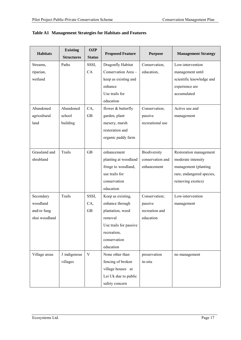| <b>Habitats</b> | <b>Existing</b><br><b>OZP</b> |               | <b>Proposed Feature</b> | <b>Purpose</b>   | <b>Management Strategy</b> |  |
|-----------------|-------------------------------|---------------|-------------------------|------------------|----------------------------|--|
|                 | <b>Structures</b>             | <b>Status</b> |                         |                  |                            |  |
| Streams,        | Paths                         | SSSI,         | Dragonfly Habitat       | Conservation,    | Low-intervention           |  |
| riparian,       |                               | CA            | Conservation Area -     | education,       | management until           |  |
| wetland         |                               |               | keep as existing and    |                  | scientific knowledge and   |  |
|                 |                               |               | enhance                 |                  | experience are             |  |
|                 |                               |               | Use trails for          |                  | accumulated                |  |
|                 |                               |               | education               |                  |                            |  |
| Abandoned       | Abandoned                     | CA,           | flower & butterfly      | Conservation;    | Active use and             |  |
| agricultural    | school                        | <b>GB</b>     | garden, plant           | passive          | management                 |  |
| land            | building                      |               | nursery, marsh          | recreational use |                            |  |
|                 |                               |               | restoration and         |                  |                            |  |
|                 |                               |               | organic paddy farm      |                  |                            |  |
|                 |                               |               |                         |                  |                            |  |
| Grassland and   | Trails                        | <b>GB</b>     | enhancement             | Biodiversity     | Restoration management     |  |
| shrubland       |                               |               | planting at woodland    | conservation and | moderate intensity         |  |
|                 |                               |               | fringe to woodland,     | enhancement      | management (planting       |  |
|                 |                               |               | use trails for          |                  | rare, endangered species,  |  |
|                 |                               |               | conservation            |                  | removing exotics)          |  |
|                 |                               |               | education               |                  |                            |  |
| Secondary       | Trails                        | SSSI,         | Keep as existing,       | Conservation;    | Low-intervention           |  |
| woodland        |                               | CA,           | enhance through         | passive          | management                 |  |
| and/or fung     |                               | <b>GB</b>     | plantation, weed        | recreation and   |                            |  |
| shui woodland   |                               |               | removal                 | education        |                            |  |
|                 |                               |               | Use trails for passive  |                  |                            |  |
|                 |                               |               | recreation,             |                  |                            |  |
|                 |                               |               | conservation            |                  |                            |  |
|                 |                               |               | education               |                  |                            |  |
| Village areas   | 3 indigenous                  | $\mathbf{V}$  | None other than         | preservation     | no management              |  |
|                 | villages                      |               | fencing of broken       | in-situ          |                            |  |
|                 |                               |               | village houses at       |                  |                            |  |
|                 |                               |               | Lei Uk due to public    |                  |                            |  |
|                 |                               |               | safety concern          |                  |                            |  |

#### **Table A1 Management Strategies for Habitats and Features**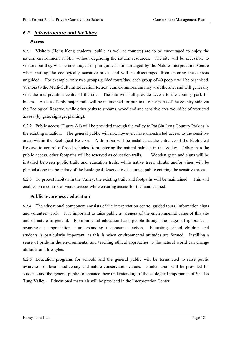#### *6.2 Infrastructure and facilities*

#### **Access**

6.2.1 Visitors (Hong Kong students, public as well as tourists) are to be encouraged to enjoy the natural environment at SLT without degrading the natural resources. The site will be accessible to visitors but they will be encouraged to join guided tours arranged by the Nature Interpretation Centre when visiting the ecologically sensitive areas, and will be discouraged from entering these areas unguided. For example, only two groups guided tours/day, each group of 40 people will be organised. Visitors to the Multi-Cultural Education Retreat cum Columbarium may visit the site, and will generally visit the interpretation centre of the site. The site will still provide access to the country park for hikers. Access of only major trails will be maintained for public to other parts of the country side via the Ecological Reserve, while other paths to streams, woodland and sensitive area would be of restricted access (by gate, signage, planting).

6.2.2 Public access (Figure A1) will be provided through the valley to Pat Sin Leng Country Park as in the existing situation. The general public will not, however, have unrestricted access to the sensitive areas within the Ecological Reserve. A drop bar will be installed at the entrance of the Ecological Reserve to control off-road vehicles from entering the natural habitats in the Valley. Other than the public access, other footpaths will be reserved as education trails. Wooden gates and signs will be installed between public trails and education trails, while native trees, shrubs and/or vines will be planted along the boundary of the Ecological Reserve to discourage public entering the sensitive areas.

6.2.3 To protect habitats in the Valley, the existing trails and footpaths will be maintained. This will enable some control of visitor access while ensuring access for the handicapped.

#### **Public awareness / education**

6.2.4 The educational component consists of the interpretation centre, guided tours, information signs and volunteer work. It is important to raise public awareness of the environmental value of this site and of nature in general. Environmental education leads people through the stages of ignorance→ awareness→ appreciation→ understanding→ concern→ action. Educating school children and students is particularly important, as this is when environmental attitudes are formed. Instilling a sense of pride in the environmental and teaching ethical approaches to the natural world can change attitudes and lifestyles.

6.2.5 Education programs for schools and the general public will be formulated to raise public awareness of local biodiversity and nature conservation values. Guided tours will be provided for students and the general public to enhance their understanding of the ecological importance of Sha Lo Tung Valley. Educational materials will be provided in the Interpretation Center.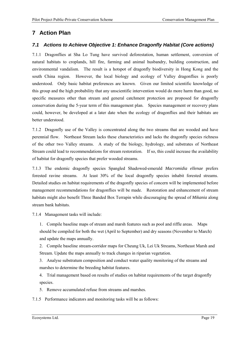## **7 Action Plan**

#### *7.1 Actions to Achieve Objective 1: Enhance Dragonfly Habitat (Core actions)*

7.1.1 Dragonflies at Sha Lo Tung have survived deforestation, human settlement, conversion of natural habitats to croplands, hill fire, farming and animal husbandry, building construction, and environmental vandalism. The result is a hotspot of dragonfly biodiversity in Hong Kong and the south China region. However, the local biology and ecology of Valley dragonflies is poorly understood. Only basic habitat preferences are known. Given our limited scientific knowledge of this group and the high probability that any unscientific intervention would do more harm than good, no specific measures other than stream and general catchment protection are proposed for dragonfly conservation during the 5-year term of this management plan. Species management or recovery plans could, however, be developed at a later date when the ecology of dragonflies and their habitats are better understood.

7.1.2 Dragonfly use of the Valley is concentrated along the two streams that are wooded and have perennial flow. Northeast Stream lacks these characteristics and lacks the dragonfly species richness of the other two Valley streams. A study of the biology, hydrology, and substrates of Northeast Stream could lead to recommendations for stream restoration. If so, this could increase the availability of habitat for dragonfly species that prefer wooded streams.

7.1.3 The endemic dragonfly species Spangled Shadowed-emerald *Macromidia ellenae* prefers forested ravine streams. At least 30% of the local dragonfly species inhabit forested streams. Detailed studies on habitat requirements of the dragonfly species of concern will be implemented before management recommendations for dragonflies will be made. Restoration and enhancement of stream habitats might also benefit Three Banded Box Terrapin while discouraging the spread of *Mikania* along stream bank habitats.

7.1.4 Management tasks will include:

1. Compile baseline maps of stream and marsh features such as pool and riffle areas. Maps should be compiled for both the wet (April to September) and dry seasons (November to March) and update the maps annually.

2. Compile baseline stream-corridor maps for Cheung Uk, Lei Uk Streams, Northeast Marsh and Stream. Update the maps annually to track changes in riparian vegetation.

3. Analyse substratum composition and conduct water quality monitoring of the streams and marshes to determine the breeding habitat features.

4. Trial management based on results of studies on habitat requirements of the target dragonfly species.

5. Remove accumulated refuse from streams and marshes.

7.1.5 Performance indicators and monitoring tasks will be as follows: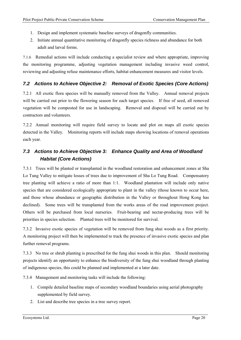- 1. Design and implement systematic baseline surveys of dragonfly communities.
- 2. Initiate annual quantitative monitoring of dragonfly species richness and abundance for both adult and larval forms.

7.1.6 Remedial actions will include conducting a specialist review and where appropriate, improving the monitoring programme, adjusting vegetation management including invasive weed control, reviewing and adjusting refuse maintenance efforts, habitat enhancement measures and visitor levels.

#### *7.2 Actions to Achieve Objective 2: Removal of Exotic Species (Core Actions)*

7.2.1 All exotic flora species will be manually removed from the Valley. Annual removal projects will be carried out prior to the flowering season for each target species. If free of seed, all removed vegetation will be composted for use in landscaping. Removal and disposal will be carried out by contractors and volunteers.

7.2.2 Annual monitoring will require field survey to locate and plot on maps all exotic species detected in the Valley. Monitoring reports will include maps showing locations of removal operations each year.

## *7.3 Actions to Achieve Objective 3: Enhance Quality and Area of Woodland Habitat (Core Actions)*

7.3.1 Trees will be planted or transplanted in the woodland restoration and enhancement zones at Sha Lo Tung Valley to mitigate losses of trees due to improvement of Sha Lo Tung Road. Compensatory tree planting will achieve a ratio of more than 1:1. Woodland plantation will include only native species that are considered ecologically appropriate to plant in the valley (those known to occur here, and those whose abundance or geographic distribution in the Valley or throughout Hong Kong has declined). Some trees will be transplanted from the works areas of the road improvement project. Others will be purchased from local nurseries. Fruit-bearing and nectar-producing trees will be priorities in species selection. Planted trees will be monitored for survival.

7.3.2 Invasive exotic species of vegetation will be removed from fung shui woods as a first priority. A monitoring project will then be implemented to track the presence of invasive exotic species and plan further removal programs.

7.3.3 No tree or shrub planting is prescribed for the fung shui woods in this plan. Should monitoring projects identify an opportunity to enhance the biodiversity of the fung shui woodland through planting of indigenous species, this could be planned and implemented at a later date.

7.3.4 Management and monitoring tasks will include the following:

- 1. Compile detailed baseline maps of secondary woodland boundaries using aerial photography supplemented by field survey.
- 2. List and describe tree species in a tree survey report.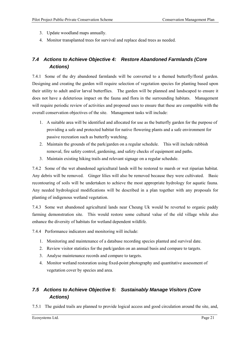- 3. Update woodland maps annually.
- 4. Monitor transplanted trees for survival and replace dead trees as needed.

## *7.4 Actions to Achieve Objective 4: Restore Abandoned Farmlands (Core Actions)*

7.4.1 Some of the dry abandoned farmlands will be converted to a themed butterfly/floral garden. Designing and creating the garden will require selection of vegetation species for planting based upon their utility to adult and/or larval butterflies. The garden will be planned and landscaped to ensure it does not have a deleterious impact on the fauna and flora in the surrounding habitats. Management will require periodic review of activities and proposed uses to ensure that these are compatible with the overall conservation objectives of the site. Management tasks will include:

- 1. A suitable area will be identified and allocated for use as the butterfly garden for the purpose of providing a safe and protected habitat for native flowering plants and a safe environment for passive recreation such as butterfly watching.
- 2. Maintain the grounds of the park/garden on a regular schedule. This will include rubbish removal, fire safety control, gardening, and safety checks of equipment and paths.
- 3. Maintain existing hiking trails and relevant signage on a regular schedule.

7.4.2 Some of the wet abandoned agricultural lands will be restored to marsh or wet riparian habitat. Any debris will be removed. Ginger lilies will also be removed because they were cultivated. Basic recontouring of soils will be undertaken to achieve the most appropriate hydrology for aquatic fauna. Any needed hydrological modifications will be described in a plan together with any proposals for planting of indigenous wetland vegetation.

7.4.3 Some wet abandoned agricultural lands near Cheung Uk would be reverted to organic paddy farming demonstration site. This would restore some cultural value of the old village while also enhance the diversity of habitats for wetland dependent wildlife.

7.4.4 Performance indicators and monitoring will include:

- 1. Monitoring and maintenance of a database recording species planted and survival date.
- 2. Review visitor statistics for the park/garden on an annual basis and compare to targets.
- 3. Analyse maintenance records and compare to targets.
- 4. Monitor wetland restoration using fixed-point photography and quantitative assessment of vegetation cover by species and area.

## *7.5 Actions to Achieve Objective 5: Sustainably Manage Visitors (Core Actions)*

7.5.1 The guided trails are planned to provide logical access and good circulation around the site, and,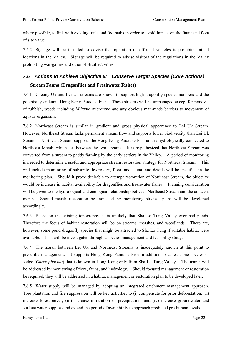where possible, to link with existing trails and footpaths in order to avoid impact on the fauna and flora of site value.

7.5.2 Signage will be installed to advise that operation of off-road vehicles is prohibited at all locations in the Valley. Signage will be required to advise visitors of the regulations in the Valley prohibiting war-games and other off-trail activities.

## *7.6 Actions to Achieve Objective 6: Conserve Target Species (Core Actions)*  **Stream Fauna (Dragonflies and Freshwater Fishes)**

7.6.1 Cheung Uk and Lei Uk streams are known to support high dragonfly species numbers and the potentially endemic Hong Kong Paradise Fish. These streams will be unmanaged except for removal of rubbish, weeds including *Mikania micrantha* and any obvious man-made barriers to movement of aquatic organisms.

7.6.2 Northeast Stream is similar in gradient and gross physical appearance to Lei Uk Stream. However, Northeast Stream lacks permanent stream flow and supports lower biodiversity than Lei Uk Stream. Northeast Stream supports the Hong Kong Paradise Fish and is hydrologically connected to Northeast Marsh, which lies between the two streams. It is hypothesized that Northeast Stream was converted from a stream to paddy farming by the early settlers in the Valley. A period of monitoring is needed to determine a useful and appropriate stream restoration strategy for Northeast Stream. This will include monitoring of substrate, hydrology, flora, and fauna, and details will be specified in the monitoring plan. Should it prove desirable to attempt restoration of Northeast Stream, the objective would be increase in habitat availability for dragonflies and freshwater fishes. Planning consideration will be given to the hydrological and ecological relationship between Northeast Stream and the adjacent marsh. Should marsh restoration be indicated by monitoring studies, plans will be developed accordingly.

7.6.3 Based on the existing topography, it is unlikely that Sha Lo Tung Valley ever had ponds. Therefore the focus of habitat restoration will be on streams, marshes, and woodlands. There are, however, some pond dragonfly species that might be attracted to Sha Lo Tung if suitable habitat were available. This will be investigated through a species management and feasibility study.

7.6.4 The marsh between Lei Uk and Northeast Streams is inadequately known at this point to prescribe management. It supports Hong Kong Paradise Fish in addition to at least one species of sedge (*Carex phacota*) that is known in Hong Kong only from Sha Lo Tung Valley. The marsh will be addressed by monitoring of flora, fauna, and hydrology. Should focused management or restoration be required, they will be addressed in a habitat management or restoration plan to be developed later.

7.6.5 Water supply will be managed by adopting an integrated catchment management approach. Tree plantation and fire suppression will be key activities to (i) compensate for prior deforestation; (ii) increase forest cover; (iii) increase infiltration of precipitation; and (iv) increase groundwater and surface water supplies and extend the period of availability to approach predicted pre-human levels.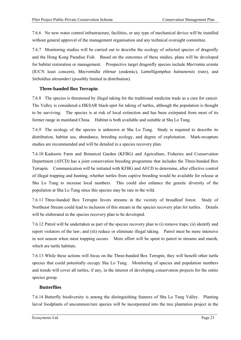7.6.6 No new water control infrastructure, facilities, or any type of mechanical device will be installed without general approval of the management organisation and any technical oversight committee.

7.6.7 Monitoring studies will be carried out to describe the ecology of selected species of dragonfly and the Hong Kong Paradise Fish. Based on the outcomes of these studies, plans will be developed for habitat restoration or management. Prospective target dragonfly species include *Macromia urania* (IUCN least concern), *Macromidia ellenae* (endemic), *Lamelligomphus hainanensis* (rare), and *Sieboldius alexanderi* (possibly limited in distribution).

#### **Three-banded Box Terrapin**

7.6.8 The species is threatened by illegal taking for the traditional medicine trade as a cure for cancer. The Valley is considered a HKSAR black-spot for taking of turtles, although the population is thought to be surviving. The species is at risk of local extinction and has been extirpated from most of its former range in mainland China. Habitat is both available and suitable at Sha Lo Tung.

7.6.9 The ecology of the species is unknown at Sha Lo Tung. Study is required to describe its distribution, habitat use, abundance, breeding ecology, and degree of exploitation. Mark-recapture studies are recommended and will be detailed in a species recovery plan.

7.6.10 Kadoorie Farm and Botanical Garden (KFBG) and Agriculture, Fisheries and Conservation Department (AFCD) has a joint conservation breeding programme that includes the Three-banded Box Terrapin. Communication will be initiated with KFBG and AFCD to determine, after effective control of illegal trapping and hunting, whether turtles from captive breeding would be available for release at Sha Lo Tung to increase local numbers. This could also enhance the genetic diversity of the population at Sha Lo Tung since this species may be rare in the wild.

7.6.11 Three-banded Box Terrapin favors streams in the vicinity of broadleaf forest. Study of Northeast Stream could lead to inclusion of this stream in the species recovery plan for turtles. Details will be elaborated in the species recovery plan to be developed.

7.6.12 Patrol will be undertaken as part of the species recovery plan to (i) remove traps; (ii) identify and report violators of the law; and (iii) reduce or eliminate illegal taking. Patrol must be more intensive in wet season when most trapping occurs. More effort will be spent to patrol in streams and marsh, which are turtle habitats.

7.6.13 While these actions will focus on the Three-banded Box Terrapin, they will benefit other turtle species that could potentially occupy Sha Lo Tung. Monitoring of species and population numbers and trends will cover all turtles, if any, in the interest of developing conservation projects for the entire species group.

#### **Butterflies**

7.6.14 Butterfly biodiversity is among the distinguishing features of Sha Lo Tung Valley. Planting larval foodplants of uncommon/rare species will be incorporated into the tree plantation project in the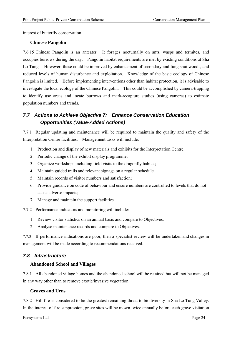interest of butterfly conservation.

#### **Chinese Pangolin**

7.6.15 Chinese Pangolin is an anteater. It forages nocturnally on ants, wasps and termites, and occupies burrows during the day. Pangolin habitat requirements are met by existing conditions at Sha Lo Tung. However, these could be improved by enhancement of secondary and fung shui woods, and reduced levels of human disturbance and exploitation. Knowledge of the basic ecology of Chinese Pangolin is limited. Before implementing interventions other than habitat protection, it is advisable to investigate the local ecology of the Chinese Pangolin. This could be accomplished by camera-trapping to identify use areas and locate burrows and mark-recapture studies (using cameras) to estimate population numbers and trends.

## *7.7 Actions to Achieve Objective 7: Enhance Conservation Education Opportunities (Value-Added Actions)*

7.7.1 Regular updating and maintenance will be required to maintain the quality and safety of the Interpretation Centre facilities. Management tasks will include:

- 1. Production and display of new materials and exhibits for the Interpretation Centre;
- 2. Periodic change of the exhibit display programme;
- 3. Organize workshops including field visits to the dragonfly habitat;
- 4. Maintain guided trails and relevant signage on a regular schedule.
- 5. Maintain records of visitor numbers and satisfaction;
- 6. Provide guidance on code of behaviour and ensure numbers are controlled to levels that do not cause adverse impacts;
- 7. Manage and maintain the support facilities.

7.7.2 Performance indicators and monitoring will include:

- 1. Review visitor statistics on an annual basis and compare to Objectives.
- 2. Analyse maintenance records and compare to Objectives.

7.7.3 If performance indications are poor, then a specialist review will be undertaken and changes in management will be made according to recommendations received.

#### *7.8 Infrastructure*

#### **Abandoned School and Villages**

7.8.1 All abandoned village homes and the abandoned school will be retained but will not be managed in any way other than to remove exotic/invasive vegetation.

#### **Graves and Urns**

7.8.2 Hill fire is considered to be the greatest remaining threat to biodiversity in Sha Lo Tung Valley. In the interest of fire suppression, grave sites will be mown twice annually before each grave visitation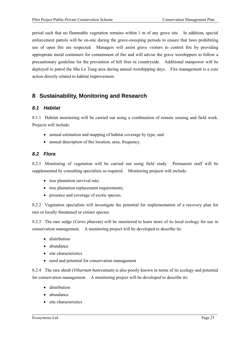period such that no flammable vegetation remains within 1 m of any grave site. In addition, special enforcement patrols will be on-site during the grave-sweeping periods to ensure that laws prohibiting use of open fire are respected. Managers will assist grave visitors to control fire by providing appropriate metal containers for containment of fire and will advise the grave worshippers to follow a precautionary guideline for the prevention of hill fires in countryside. Additional manpower will be deployed to patrol the Sha Lo Tung area during annual worshipping days. Fire management is a core action directly related to habitat improvement.

## **8 Sustainability, Monitoring and Research**

#### *8.1 Habitat*

8.1.1 Habitat monitoring will be carried out using a combination of remote sensing and field work. Projects will include:

- annual estimation and mapping of habitat coverage by type; and
- annual description of fire location, area, frequency.

#### *8.2 Flora*

8.2.1 Monitoring of vegetation will be carried out using field study. Permanent staff will be supplemented by consulting specialists as required. Monitoring projects will include:

- tree plantation survival rate;
- tree plantation replacement requirements;
- presence and coverage of exotic species.

8.2.2 Vegetation specialists will investigate the potential for implementation of a recovery plan for rare or locally threatened or extinct species.

8.2.3 The rare sedge (*Carex phacota*) will be monitored to learn more of its local ecology for use in conservation management. A monitoring project will be developed to describe its:

- distribution
- abundance
- site characteristics
- need and potential for conservation management

8.2.4 The rare shrub (*Viburnum hanceanum*) is also poorly known in terms of its ecology and potential for conservation management. A monitoring project will be developed to describe its:

- distribution
- abundance
- site characteristics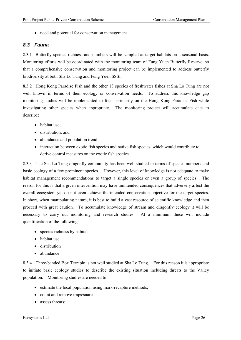• need and potential for conservation management

#### *8.3 Fauna*

8.3.1 Butterfly species richness and numbers will be sampled at target habitats on a seasonal basis. Monitoring efforts will be coordinated with the monitoring team of Fung Yuen Butterfly Reserve, so that a comprehensive conservation and monitoring project can be implemented to address butterfly biodiversity at both Sha Lo Tung and Fung Yuen SSSI.

8.3.2 Hong Kong Paradise Fish and the other 13 species of freshwater fishes at Sha Lo Tung are not well known in terms of their ecology or conservation needs. To address this knowledge gap monitoring studies will be implemented to focus primarily on the Hong Kong Paradise Fish while investigating other species when appropriate. The monitoring project will accumulate data to describe:

- habitat use:
- distribution; and
- abundance and population trend
- interaction between exotic fish species and native fish species, which would contribute to derive control measures on the exotic fish species.

8.3.3 The Sha Lo Tung dragonfly community has been well studied in terms of species numbers and basic ecology of a few prominent species. However, this level of knowledge is not adequate to make habitat management recommendations to target a single species or even a group of species. The reason for this is that a given intervention may have unintended consequences that adversely affect the overall ecosystem yet do not even achieve the intended conservation objective for the target species. In short, when manipulating nature, it is best to build a vast resource of scientific knowledge and then proceed with great caution. To accumulate knowledge of stream and dragonfly ecology it will be necessary to carry out monitoring and research studies. At a minimum these will include quantification of the following:

- species richness by habitat
- habitat use
- distribution
- abundance

8.3.4 Three-banded Box Terrapin is not well studied at Sha Lo Tung. For this reason it is appropriate to initiate basic ecology studies to describe the existing situation including threats to the Valley population. Monitoring studies are needed to:

- estimate the local population using mark-recapture methods;
- count and remove traps/snares;
- assess threats;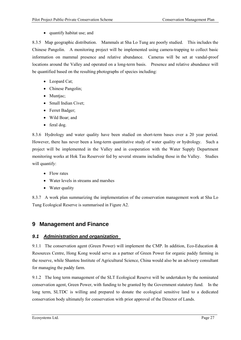• quantify habitat use; and

8.3.5 Map geographic distribution. Mammals at Sha Lo Tung are poorly studied. This includes the Chinese Pangolin. A monitoring project will be implemented using camera-trapping to collect basic information on mammal presence and relative abundance. Cameras will be set at vandal-proof locations around the Valley and operated on a long-term basis. Presence and relative abundance will be quantified based on the resulting photographs of species including:

- Leopard Cat;
- Chinese Pangolin;
- Muntjac;
- Small Indian Civet;
- Ferret Badger;
- Wild Boar; and
- feral dog.

8.3.6 Hydrology and water quality have been studied on short-term bases over a 20 year period. However, there has never been a long-term quantitative study of water quality or hydrology. Such a project will be implemented in the Valley and in cooperation with the Water Supply Department monitoring works at Hok Tau Reservoir fed by several streams including those in the Valley. Studies will quantify:

- Flow rates
- Water levels in streams and marshes
- Water quality

8.3.7 A work plan summarizing the implementation of the conservation management work at Sha Lo Tung Ecological Reserve is summarised in Figure A2.

## **9 Management and Finance**

#### *9.1 Administration and organization*

9.1.1 The conservation agent (Green Power) will implement the CMP. In addition, Eco-Education  $\&$ Resources Centre, Hong Kong would serve as a partner of Green Power for organic paddy farming in the reserve, while Shantou Institute of Agricultural Science, China would also be an advisory consultant for managing the paddy farm.

9.1.2 The long term management of the SLT Ecological Reserve will be undertaken by the nominated conservation agent, Green Power, with funding to be granted by the Government statutory fund. In the long term, SLTDC is willing and prepared to donate the ecological sensitive land to a dedicated conservation body ultimately for conservation with prior approval of the Director of Lands.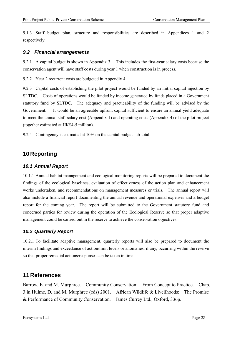9.1.3 Staff budget plan, structure and responsibilities are described in Appendices 1 and 2 respectively.

#### *9.2 Financial arrangements*

9.2.1 A capital budget is shown in Appendix 3. This includes the first-year salary costs because the conservation agent will have staff costs during year 1 when construction is in process.

9.2.2 Year 2 recurrent costs are budgeted in Appendix 4.

9.2.3 Capital costs of establishing the pilot project would be funded by an initial capital injection by SLTDC. Costs of operations would be funded by income generated by funds placed in a Government statutory fund by SLTDC. The adequacy and practicability of the funding will be advised by the Government. It would be an agreeable upfront capital sufficient to ensure an annual yield adequate to meet the annual staff salary cost (Appendix 1) and operating costs (Appendix 4) of the pilot project (together estimated at HK\$4-5 million).

9.2.4 Contingency is estimated at 10% on the capital budget sub-total.

## **10 Reporting**

#### *10.1 Annual Report*

10.1.1 Annual habitat management and ecological monitoring reports will be prepared to document the findings of the ecological baselines, evaluation of effectiveness of the action plan and enhancement works undertaken, and recommendations on management measures or trials. The annual report will also include a financial report documenting the annual revenue and operational expenses and a budget report for the coming year. The report will be submitted to the Government statutory fund and concerned parties for review during the operation of the Ecological Reserve so that proper adaptive management could be carried out in the reserve to achieve the conservation objectives.

#### *10.2 Quarterly Report*

10.2.1 To facilitate adaptive management, quarterly reports will also be prepared to document the interim findings and exceedance of action/limit levels or anomalies, if any, occurring within the reserve so that proper remedial actions/responses can be taken in time.

### **11 References**

Barrow, E. and M. Murphree. Community Conservation: From Concept to Practice. Chap. 3 in Hulme, D. and M. Murphree (eds) 2001. African Wildlife & Livelihoods: The Promise & Performance of Community Conservation. James Currey Ltd., Oxford, 336p.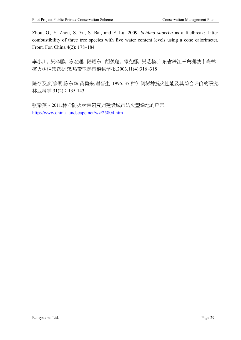Zhou, G., Y. Zhou, S. Yu, S. Bai, and F. Lu. 2009. *Schima superba* as a fuelbreak: Litter combustibility of three tree species with five water content levels using a cone calorimeter. Front. For. China 4(2): 178–184

李小川, 吴泽鹏, 陈宏通, 陆耀东, 胡羡聪, 薛克娜, 吴芝杨.广东省珠江三角洲城市森林 抗火树种筛选研究.热带亚热带植物学报,2003,11(4):316~318

陈存及,何宗明,陈东华,黄勇来,谢晋生 1995. 37 种针阔树种抗火性能及其综合评价的研究. 林业科学 31(2):135-143

张秦英。2011.林业防火林带研究对建设城市防火型绿地的启示. http://www.china-landscape.net/wz/25804.htm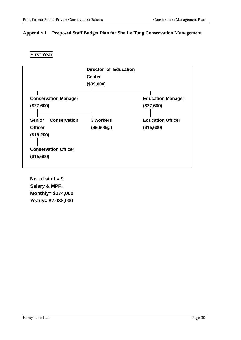#### **Appendix 1 Proposed Staff Budget Plan for Sha Lo Tung Conservation Management**

|                                      | Director of Education<br><b>Center</b><br>(\$39,600) |                          |
|--------------------------------------|------------------------------------------------------|--------------------------|
| <b>Conservation Manager</b>          |                                                      | <b>Education Manager</b> |
| (\$27,600)                           |                                                      | (\$27,600)               |
|                                      |                                                      |                          |
| <b>Senior</b><br><b>Conservation</b> | 3 workers                                            | <b>Education Officer</b> |
| <b>Officer</b>                       | (\$9,600@)                                           | (\$15,600)               |
| (\$19,200)                           |                                                      |                          |
| <b>Conservation Officer</b>          |                                                      |                          |
| (\$15,600)                           |                                                      |                          |

**First Year** 

**No. of staff = 9 Salary & MPF: Monthly= \$174,000 Yearly= \$2,088,000**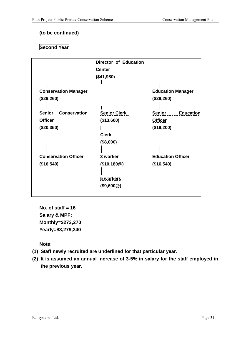#### **(to be continued)**

## **Second Year**

|                                      | Director of Education |                            |
|--------------------------------------|-----------------------|----------------------------|
|                                      | <b>Center</b>         |                            |
|                                      | (\$41,980)            |                            |
| <b>Conservation Manager</b>          |                       | <b>Education Manager</b>   |
| (\$29,260)                           |                       | (\$29,260)                 |
| <b>Senior</b><br><b>Conservation</b> | <b>Senior Clerk</b>   | Senior<br><b>Education</b> |
| <b>Officer</b>                       | (\$13,600)            | <b>Officer</b>             |
| (\$20,350)                           |                       | (\$19,200)                 |
|                                      | <b>Clerk</b>          |                            |
|                                      | (\$8,000)             |                            |
|                                      |                       |                            |
| <b>Conservation Officer</b>          | 3 worker              | <b>Education Officer</b>   |
| (\$16,540)                           | (\$10, 180@)          | (\$16,540)                 |
|                                      |                       |                            |
|                                      | 5 workers             |                            |
|                                      | (\$9,600@)            |                            |

**No. of staff = 16 Salary & MPF: Monthly=\$273,270 Yearly=\$3,279,240** 

**Note:** 

- **(1) Staff newly recruited are underlined for that particular year.**
- **(2) It is assumed an annual increase of 3-5% in salary for the staff employed in the previous year.**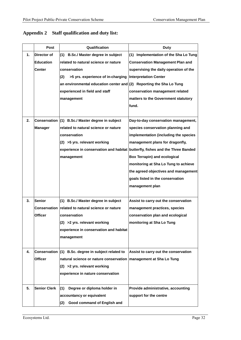|    | <b>Post</b>         | Qualification                                                                 | <b>Duty</b>                             |
|----|---------------------|-------------------------------------------------------------------------------|-----------------------------------------|
| 1. | <b>Director of</b>  | (1) B.Sc./ Master degree in subject                                           | (1) Implementation of the Sha Lo Tung   |
|    | <b>Education</b>    | related to natural science or nature                                          | <b>Conservation Management Plan and</b> |
|    | <b>Center</b>       | conservation                                                                  | supervising the daily operation of the  |
|    |                     | >5 yrs. experience of in-charging<br>(2)                                      | <b>Interpretation Center</b>            |
|    |                     | an environmental education center and $(2)$ Reporting the Sha Lo Tung         |                                         |
|    |                     | experienced in field and staff                                                | conservation management related         |
|    |                     | management                                                                    | matters to the Government statutory     |
|    |                     |                                                                               | fund.                                   |
|    |                     |                                                                               |                                         |
| 2. |                     | Conservation (1) B.Sc./ Master degree in subject                              | Day-to-day conservation management,     |
|    | <b>Manager</b>      | related to natural science or nature                                          | species conservation planning and       |
|    |                     | conservation                                                                  | implementation (including the species   |
|    |                     | (2) >5 yrs. relevant working                                                  | management plans for dragonfly,         |
|    |                     | experience in conservation and habitat butterfly, fishes and the Three Banded |                                         |
|    |                     | management                                                                    | <b>Box Terrapin) and ecological</b>     |
|    |                     |                                                                               | monitoring at Sha Lo Tung to achieve    |
|    |                     |                                                                               | the agreed objectives and management    |
|    |                     |                                                                               | goals listed in the conservation        |
|    |                     |                                                                               | management plan                         |
|    |                     |                                                                               |                                         |
| 3. | <b>Senior</b>       | (1) B.Sc./ Master degree in subject                                           | Assist to carry out the conservation    |
|    |                     | Conservation related to natural science or nature                             | management practices, species           |
|    | <b>Officer</b>      | conservation                                                                  | conservation plan and ecological        |
|    |                     | $(2)$ >2 yrs. relevant working                                                | monitoring at Sha Lo Tung               |
|    |                     | experience in conservation and habitat                                        |                                         |
|    |                     | management                                                                    |                                         |
|    |                     |                                                                               |                                         |
| 4. |                     | Conservation (1) B.Sc. degree in subject related to                           | Assist to carry out the conservation    |
|    | <b>Officer</b>      | natural science or nature conservation                                        | management at Sha Lo Tung               |
|    |                     | $(2)$ >2 yrs. relevant working                                                |                                         |
|    |                     | experience in nature conservation                                             |                                         |
|    |                     |                                                                               |                                         |
| 5. | <b>Senior Clerk</b> | (1)<br>Degree or diploma holder in                                            | Provide administrative, accounting      |
|    |                     | accountancy or equivalent                                                     | support for the centre                  |
|    |                     | Good command of English and<br>(2)                                            |                                         |

## **Appendix 2 Staff qualification and duty list:**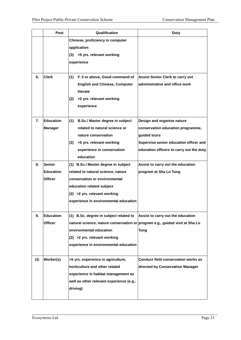|     | Post                                                | Qualification                                                                                                                                                                                                                | Duty                                                                                                                                                                   |  |  |
|-----|-----------------------------------------------------|------------------------------------------------------------------------------------------------------------------------------------------------------------------------------------------------------------------------------|------------------------------------------------------------------------------------------------------------------------------------------------------------------------|--|--|
|     |                                                     | Chinese, proficiency in computer<br>application<br>(3) >5 yrs. relevant working<br>experience                                                                                                                                |                                                                                                                                                                        |  |  |
| 6.  | <b>Clerk</b>                                        | $(1)$ F. 5 or above, Good command of<br><b>English and Chinese, Computer</b><br>literate<br>(2)<br>>2 yrs. relevant working<br>experience                                                                                    | <b>Assist Senior Clerk to carry out</b><br>administrative and office work                                                                                              |  |  |
| 7.  | <b>Education</b><br><b>Manager</b>                  | (1)<br>B.Sc./ Master degree in subject<br>related to natural science or<br>nature conservation<br>>5 yrs. relevant working<br>(2)<br>experience in conservation<br>education                                                 | Design and organise nature<br>conservation education programme,<br>guided tours<br>Supervise senior education officer and<br>education officers to carry out the duty. |  |  |
| 8.  | <b>Senior</b><br><b>Education</b><br><b>Officer</b> | (1) B.Sc./ Master degree in subject<br>related to natural science, nature<br>conservation or environmental<br>education related subject<br>(2) > 2 yrs. relevant working<br>experience in environmental education            | Assist to carry out the education<br>program at Sha Lo Tung                                                                                                            |  |  |
| 9.  | <b>Education</b><br><b>Officer</b>                  | (1) B.Sc. degree in subject related to<br>natural science, nature conservation or program e.g., guided visit at Sha Lo<br>environmental education<br>$(2)$ >2 yrs. relevant working<br>experience in environmental education | Assist to carry out the education<br><b>Tung</b>                                                                                                                       |  |  |
| 10. | Worker(s)                                           | >5 yrs. experience in agriculture,<br>horticulture and other related<br>experience in habitat management as<br>well as other relevant experience (e.g.,<br>driving)                                                          | Conduct field conservation works as<br>directed by Conservation Manager                                                                                                |  |  |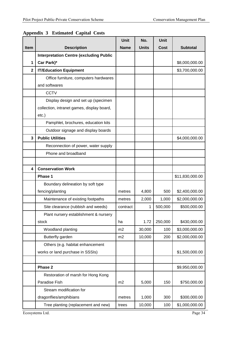|             |                                                | Unit        | No.          | <b>Unit</b> |                 |
|-------------|------------------------------------------------|-------------|--------------|-------------|-----------------|
| <b>Item</b> | <b>Description</b>                             | <b>Name</b> | <b>Units</b> | Cost        | <b>Subtotal</b> |
|             | <b>Interpretation Centre (excluding Public</b> |             |              |             |                 |
| 1           | Car Park)*                                     |             |              |             | \$8,000,000.00  |
| $\mathbf 2$ | <b>IT/Education Equipment</b>                  |             |              |             | \$3,700,000.00  |
|             | Office furniture, computers hardwares          |             |              |             |                 |
|             | and softwares                                  |             |              |             |                 |
|             | <b>CCTV</b>                                    |             |              |             |                 |
|             | Display design and set up (specimen            |             |              |             |                 |
|             | collection, intranet games, display board,     |             |              |             |                 |
|             | $etc.$ )                                       |             |              |             |                 |
|             | Pamphlet, brochures, education kits            |             |              |             |                 |
|             | Outdoor signage and display boards             |             |              |             |                 |
| 3           | <b>Public Utilities</b>                        |             |              |             | \$4,000,000.00  |
|             | Reconnection of power, water supply            |             |              |             |                 |
|             | Phone and broadband                            |             |              |             |                 |
|             |                                                |             |              |             |                 |
| 4           | <b>Conservation Work</b>                       |             |              |             |                 |
|             | Phase 1                                        |             |              |             | \$11,830,000.00 |
|             | Boundary delineation by soft type              |             |              |             |                 |
|             | fencing/planting                               | metres      | 4,800        | 500         | \$2,400,000.00  |
|             | Maintenance of existing footpaths              | metres      | 2,000        | 1,000       | \$2,000,000.00  |
|             | Site clearance (rubbish and weeds)             | contract    | 1            | 500,000     | \$500,000.00    |
|             | Plant nursery establishment & nursery          |             |              |             |                 |
|             | stock                                          | ha          | 1.72         | 250,000     | \$430,000.00    |
|             | Woodland planting                              | m2          | 30,000       | 100         | \$3,000,000.00  |
|             | Butterfly garden                               | m2          | 10,000       | 200         | \$2,000,000.00  |
|             | Others (e.g. habitat enhancement               |             |              |             |                 |
|             | works or land purchase in SSSIs)               |             |              |             | \$1,500,000.00  |
|             |                                                |             |              |             |                 |
|             | Phase 2                                        |             |              |             | \$9,950,000.00  |
|             | Restoration of marsh for Hong Kong             |             |              |             |                 |
|             | Paradise Fish                                  | m2          | 5,000        | 150         | \$750,000.00    |
|             | Stream modification for                        |             |              |             |                 |
|             | dragonflies/amphibians                         | metres      | 1,000        | 300         | \$300,000.00    |
|             | Tree planting (replacement and new)            | trees       | 10,000       | 100         | \$1,000,000.00  |

## **Appendix 3 Estimated Capital Costs**

Ecosystems Ltd. Page 34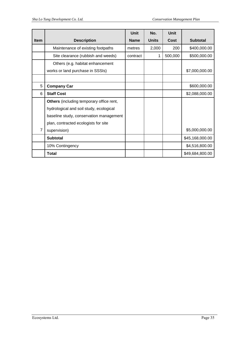|             |                                          | <b>Unit</b> | No.          | Unit    |                 |
|-------------|------------------------------------------|-------------|--------------|---------|-----------------|
| <b>Item</b> | <b>Description</b>                       | <b>Name</b> | <b>Units</b> | Cost    | <b>Subtotal</b> |
|             | Maintenance of existing footpaths        | metres      | 2,000        | 200     | \$400,000.00    |
|             | Site clearance (rubbish and weeds)       | contract    | 1            | 500,000 | \$500,000.00    |
|             | Others (e.g. habitat enhancement         |             |              |         |                 |
|             | works or land purchase in SSSIs)         |             |              |         | \$7,000,000.00  |
|             |                                          |             |              |         |                 |
| 5           | <b>Company Car</b>                       |             |              |         | \$600,000.00    |
| 6           | <b>Staff Cost</b>                        |             |              |         | \$2,088,000.00  |
|             | Others (including temporary office rent, |             |              |         |                 |
|             | hydrological and soil study, ecological  |             |              |         |                 |
|             | baseline study, conservation management  |             |              |         |                 |
|             | plan, contracted ecologists for site     |             |              |         |                 |
| 7           | supervision)                             |             |              |         | \$5,000,000.00  |
|             | <b>Subtotal</b>                          |             |              |         | \$45,168,000.00 |
|             | 10% Contingency                          |             |              |         | \$4,516,800.00  |
|             | <b>Total</b>                             |             |              |         | \$49,684,800.00 |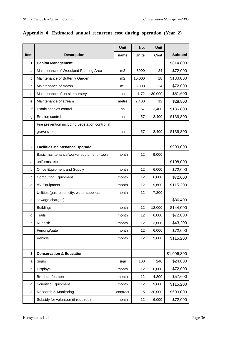|              |                                                 | Unit           | No.          | Unit    |                 |
|--------------|-------------------------------------------------|----------------|--------------|---------|-----------------|
| Item         | <b>Description</b>                              | name           | <b>Units</b> | Cost    | <b>Subtotal</b> |
| 1            | <b>Habitat Management</b>                       |                |              |         | \$814,800       |
| a            | Maintenance of Woodland Planting Area           | m <sub>2</sub> | 3000         | 24      | \$72,000        |
| b            | Maintenance of Butterfly Garden                 | m2             | 10,000       | 18      | \$180,000       |
| C            | Maintenance of marsh                            | m <sub>2</sub> | 3,000        | 24      | \$72,000        |
| d            | Maintenance of on-site nursery                  | ha             | 1.72         | 30,000  | \$51,600        |
| е            | Maintenance of stream                           | metre          | 2,400        | 12      | \$28,800        |
| f            | Exotic species control                          | ha             | 57           | 2,400   | \$136,800       |
| g            | Erosion control                                 | ha             | 57           | 2,400   | \$136,800       |
|              | Fire prevention including vegetation control at |                |              |         |                 |
| h            | grave sites                                     | ha             | 57           | 2,400   | \$136,800       |
|              |                                                 |                |              |         |                 |
| $\mathbf{2}$ | <b>Facilities Maintenance/Upgrade</b>           |                |              |         | \$900,000       |
|              | Basic maintenance/worker equipment - tools,     | month          | 12           | 9,000   |                 |
| a            | uniforms, etc.                                  |                |              |         | \$108,000       |
| b            | Office Equipment and Supply                     | month          | 12           | 6,000   | \$72,000        |
| C            | <b>Computing Equipment</b>                      | month          | 12           | 6,000   | \$72,000        |
| d            | <b>AV Equipment</b>                             | month          | 12           | 9,600   | \$115,200       |
|              | Utilities (gas, electricity, water supplies,    | month          | 12           | 7,200   |                 |
| е            | sewage charges)                                 |                |              |         | \$86,400        |
| $\mathsf f$  | <b>Buildings</b>                                | month          | 12           | 12,000  | \$144,000       |
| g            | <b>Trails</b>                                   | month          | 12           | 6,000   | \$72,000        |
| h            | <b>Rubbish</b>                                  | month          | 12           | 3,600   | \$43,200        |
| i            | Fencing/gate                                    | month          | 12           | 6,000   | \$72,000        |
| j            | Vehicle                                         | month          | 12           | 9,600   | \$115,200       |
|              |                                                 |                |              |         |                 |
| 3            | <b>Conservation &amp; Education</b>             |                |              |         | \$1,096,800     |
| a            | Signs                                           | sign           | 100          | 240     | \$24,000        |
| b            | Displays                                        | month          | 12           | 6,000   | \$72,000        |
| $\mathbf{C}$ | Brochure/pamphlets                              | month          | 12           | 4,800   | \$57,600        |
| d            | Scientific Equipment                            | month          | 12           | 9,600   | \$115,200       |
| е            | Research & Monitoring                           | contract       | 5            | 120,000 | \$600,000       |
| f            | Subsidy for volunteer (if required)             | month          | 12           | 6,000   | \$72,000        |

#### **Appendix 4 Estimated annual recurrent cost during operation (Year 2)**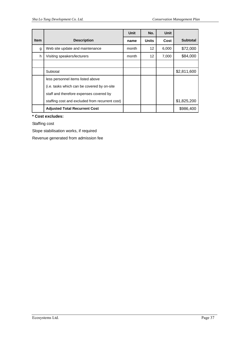|             |                                                 | Unit  | No.          | Unit  |                 |
|-------------|-------------------------------------------------|-------|--------------|-------|-----------------|
| <b>Item</b> | <b>Description</b>                              | name  | <b>Units</b> | Cost  | <b>Subtotal</b> |
| g           | Web site update and maintenance                 | month | 12           | 6,000 | \$72,000        |
| h           | Visiting speakers/lecturers                     | month | 12           | 7,000 | \$84,000        |
|             |                                                 |       |              |       |                 |
|             | Subtotal                                        |       |              |       | \$2,811,600     |
|             | less personnel items listed above               |       |              |       |                 |
|             | (i.e. tasks which can be covered by on-site)    |       |              |       |                 |
|             | staff and therefore expenses covered by         |       |              |       |                 |
|             | staffing cost and excluded from recurrent cost) |       |              |       | \$1,825,200     |
|             | <b>Adjusted Total Recurrent Cost</b>            |       |              |       | \$986,400       |

**\* Cost excludes:** 

Staffing cost

Slope stabilisation works, if required

Revenue generated from admission fee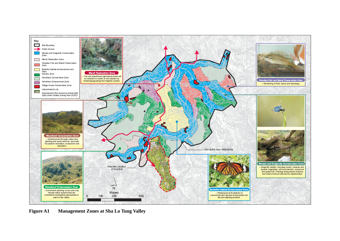

**Figure A1 Management Zones at Sha Lo Tung Valley**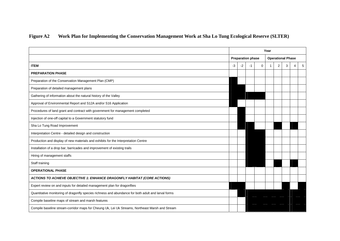## **Figure A2 Work Plan for Implementing the Conservation Management Work at Sha Lo Tung Ecological Reserve (SLTER)**

|                                                                                                     | Year                     |      |      |             |                          |   |   |   |   |
|-----------------------------------------------------------------------------------------------------|--------------------------|------|------|-------------|--------------------------|---|---|---|---|
|                                                                                                     | <b>Preparation phase</b> |      |      |             | <b>Operational Phase</b> |   |   |   |   |
| <b>ITEM</b>                                                                                         | $-3$                     | $-2$ | $-1$ | $\mathbf 0$ | $\mathbf{1}$             | 2 | 3 | 4 | 5 |
| <b>PREPARATION PHASE</b>                                                                            |                          |      |      |             |                          |   |   |   |   |
| Preparation of the Conservation Management Plan (CMP)                                               |                          |      |      |             |                          |   |   |   |   |
| Preparation of detailed management plans                                                            |                          |      |      |             |                          |   |   |   |   |
| Gathering of information about the natural history of the Valley                                    |                          |      |      |             |                          |   |   |   |   |
| Approval of Environmental Report and S12A and/or S16 Application                                    |                          |      |      |             |                          |   |   |   |   |
| Procedures of land grant and contract with government for management completed                      |                          |      |      |             |                          |   |   |   |   |
| Injection of one-off capital to a Government statutory fund                                         |                          |      |      |             |                          |   |   |   |   |
| Sha Lo Tung Road Improvement                                                                        |                          |      |      |             |                          |   |   |   |   |
| Interpretation Centre - detailed design and construction                                            |                          |      |      |             |                          |   |   |   |   |
| Production and display of new materials and exhibits for the Interpretation Centre                  |                          |      |      |             |                          |   |   |   |   |
| Installation of a drop bar, barricades and improvement of existing trails                           |                          |      |      |             |                          |   |   |   |   |
| Hiring of management staffs                                                                         |                          |      |      |             |                          |   |   |   |   |
| Staff training                                                                                      |                          |      |      |             |                          |   |   |   |   |
| <b>OPERATIONAL PHASE</b>                                                                            |                          |      |      |             |                          |   |   |   |   |
| ACTIONS TO ACHIEVE OBJECTIVE 1: ENHANCE DRAGONFLY HABITAT (CORE ACTIONS)                            |                          |      |      |             |                          |   |   |   |   |
| Expert review on and inputs for detailed management plan for dragonflies                            |                          |      |      |             |                          |   |   |   |   |
| Quantitative monitoring of dragonfly species richness and abundance for both adult and larval forms |                          |      |      |             |                          |   |   |   |   |
| Compile baseline maps of stream and marsh features                                                  |                          |      |      |             |                          |   |   |   |   |
| Compile baseline stream-corridor maps for Cheung Uk, Lei Uk Streams, Northeast Marsh and Stream     |                          |      |      |             |                          |   |   |   |   |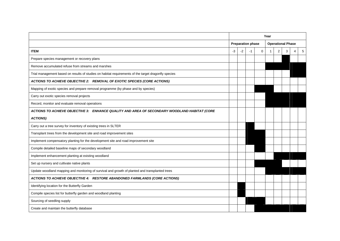|                                                                                                      | Year                     |      |    |                          |  |   |   |  |                 |
|------------------------------------------------------------------------------------------------------|--------------------------|------|----|--------------------------|--|---|---|--|-----------------|
|                                                                                                      | <b>Preparation phase</b> |      |    | <b>Operational Phase</b> |  |   |   |  |                 |
| <b>ITEM</b>                                                                                          | $-3$                     | $-2$ | -1 | $\mathbf 0$              |  | 2 | 3 |  | $5\overline{)}$ |
| Prepare species management or recovery plans                                                         |                          |      |    |                          |  |   |   |  |                 |
| Remove accumulated refuse from streams and marshes                                                   |                          |      |    |                          |  |   |   |  |                 |
| Trial management based on results of studies on habitat requirements of the target dragonfly species |                          |      |    |                          |  |   |   |  |                 |
| ACTIONS TO ACHIEVE OBJECTIVE 2: REMOVAL OF EXOTIC SPECIES (CORE ACTIONS)                             |                          |      |    |                          |  |   |   |  |                 |
| Mapping of exotic species and prepare removal programme (by phase and by species)                    |                          |      |    |                          |  |   |   |  |                 |
| Carry out exotic species removal projects                                                            |                          |      |    |                          |  |   |   |  |                 |
| Record, monitor and evaluate removal operations                                                      |                          |      |    |                          |  |   |   |  |                 |
| ACTIONS TO ACHIEVE OBJECTIVE 3: ENHANCE QUALITY AND AREA OF SECONDARY WOODLAND HABITAT (CORE         |                          |      |    |                          |  |   |   |  |                 |
| <b>ACTIONS)</b>                                                                                      |                          |      |    |                          |  |   |   |  |                 |
| Carry out a tree survey for inventory of existing trees in SLTER                                     |                          |      |    |                          |  |   |   |  |                 |
| Transplant trees from the development site and road improvement sites                                |                          |      |    |                          |  |   |   |  |                 |
| Implement compensatory planting for the development site and road improvement site                   |                          |      |    |                          |  |   |   |  |                 |
| Compile detailed baseline maps of secondary woodland                                                 |                          |      |    |                          |  |   |   |  |                 |
| Implement enhancement planting at existing woodland                                                  |                          |      |    |                          |  |   |   |  |                 |
| Set up nursery and cultivate native plants                                                           |                          |      |    |                          |  |   |   |  |                 |
| Update woodland mapping and monitoring of survival and growth of planted and transplanted trees      |                          |      |    |                          |  |   |   |  |                 |
| ACTIONS TO ACHIEVE OBJECTIVE 4: RESTORE ABANDONED FARMLANDS (CORE ACTIONS)                           |                          |      |    |                          |  |   |   |  |                 |
| Identifying location for the Butterfly Garden                                                        |                          |      |    |                          |  |   |   |  |                 |
| Compile species list for butterfly garden and woodland planting                                      |                          |      |    |                          |  |   |   |  |                 |
| Sourcing of seedling supply                                                                          |                          |      |    |                          |  |   |   |  |                 |
| Create and maintain the butterfly database                                                           |                          |      |    |                          |  |   |   |  |                 |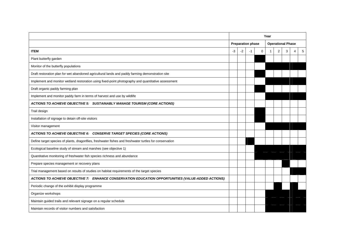|                                                                                                         | Year                     |      |    |                          |  |                |   |   |   |
|---------------------------------------------------------------------------------------------------------|--------------------------|------|----|--------------------------|--|----------------|---|---|---|
|                                                                                                         | <b>Preparation phase</b> |      |    | <b>Operational Phase</b> |  |                |   |   |   |
| <b>ITEM</b>                                                                                             | $-3$                     | $-2$ | -1 | 0                        |  | $\overline{2}$ | 3 | 4 | 5 |
| Plant butterfly garden                                                                                  |                          |      |    |                          |  |                |   |   |   |
| Monitor of the butterfly populations                                                                    |                          |      |    |                          |  |                |   |   |   |
| Draft restoration plan for wet abandoned agricultural lands and paddy farming demonstration site        |                          |      |    |                          |  |                |   |   |   |
| Implement and monitor wetland restoration using fixed-point photography and quantitative assessment     |                          |      |    |                          |  |                |   |   |   |
| Draft organic paddy farming plan                                                                        |                          |      |    |                          |  |                |   |   |   |
| Implement and monitor paddy farm in terms of harvest and use by wildlife                                |                          |      |    |                          |  |                |   |   |   |
| ACTIONS TO ACHIEVE OBJECTIVE 5: SUSTAINABLY MANAGE TOURISM (CORE ACTIONS)                               |                          |      |    |                          |  |                |   |   |   |
| Trail design                                                                                            |                          |      |    |                          |  |                |   |   |   |
| Installation of signage to detain off-site visitors                                                     |                          |      |    |                          |  |                |   |   |   |
| Visitor management                                                                                      |                          |      |    |                          |  |                |   |   |   |
| ACTIONS TO ACHIEVE OBJECTIVE 6: CONSERVE TARGET SPECIES (CORE ACTIONS)                                  |                          |      |    |                          |  |                |   |   |   |
| Define target species of plants, dragonflies, freshwater fishes and freshwater turtles for conservation |                          |      |    |                          |  |                |   |   |   |
| Ecological baseline study of stream and marshes (see objective 1)                                       |                          |      |    |                          |  |                |   |   |   |
| Quantitative monitoring of freshwater fish species richness and abundance                               |                          |      |    |                          |  |                |   |   |   |
| Prepare species management or recovery plans                                                            |                          |      |    |                          |  |                |   |   |   |
| Trial management based on results of studies on habitat requirements of the target species              |                          |      |    |                          |  |                |   |   |   |
| ACTIONS TO ACHIEVE OBJECTIVE 7: ENHANCE CONSERVATION EDUCATION OPPORTUNITIES (VALUE-ADDED ACTIONS)      |                          |      |    |                          |  |                |   |   |   |
| Periodic change of the exhibit display programme                                                        |                          |      |    |                          |  |                |   |   |   |
| Organize workshops                                                                                      |                          |      |    |                          |  |                |   |   |   |
| Maintain guided trails and relevant signage on a regular schedule                                       |                          |      |    |                          |  |                |   |   |   |
| Maintain records of visitor numbers and satisfaction                                                    |                          |      |    |                          |  |                |   |   |   |